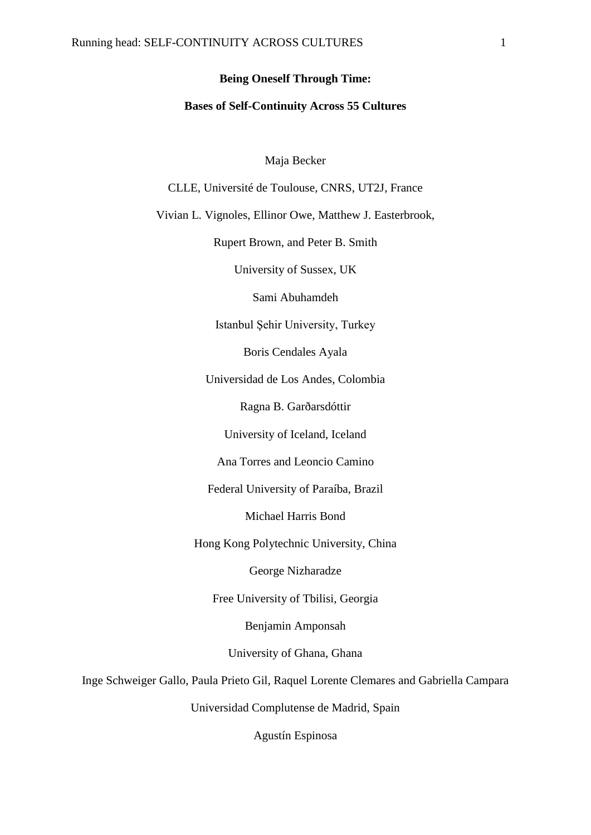#### **Being Oneself Through Time:**

#### **Bases of Self-Continuity Across 55 Cultures**

Maja Becker

CLLE, Université de Toulouse, CNRS, UT2J, France

Vivian L. Vignoles, Ellinor Owe, Matthew J. Easterbrook,

Rupert Brown, and Peter B. Smith

University of Sussex, UK

Sami Abuhamdeh

Istanbul Şehir University, Turkey

Boris Cendales Ayala

Universidad de Los Andes, Colombia

Ragna B. Garðarsdóttir

University of Iceland, Iceland

Ana Torres and Leoncio Camino

Federal University of Paraíba, Brazil

Michael Harris Bond

Hong Kong Polytechnic University, China

George Nizharadze

Free University of Tbilisi, Georgia

Benjamin Amponsah

University of Ghana, Ghana

Inge Schweiger Gallo, Paula Prieto Gil, Raquel Lorente Clemares and Gabriella Campara

Universidad Complutense de Madrid, Spain

Agustín Espinosa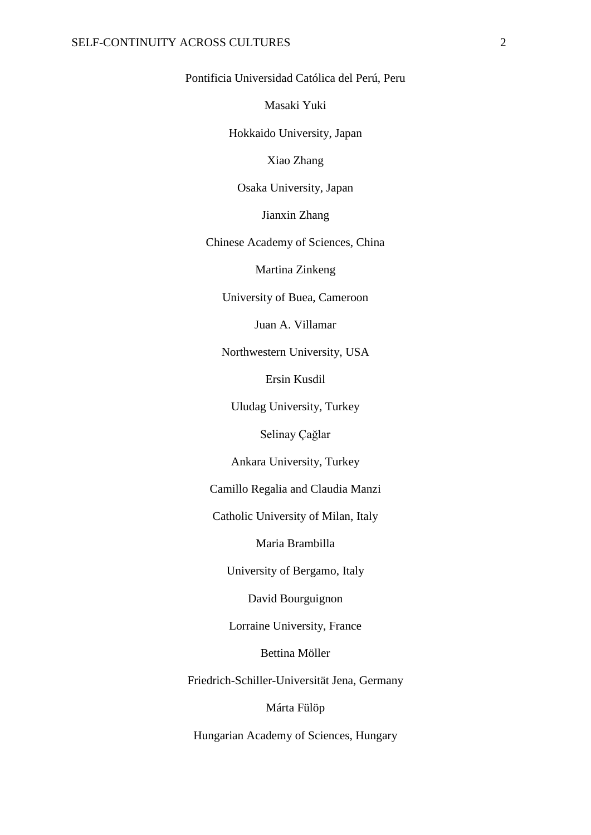Pontificia Universidad Católica del Perú, Peru

Masaki Yuki

Hokkaido University, Japan

Xiao Zhang

Osaka University, Japan

Jianxin Zhang

Chinese Academy of Sciences, China

Martina Zinkeng

University of Buea, Cameroon

Juan A. Villamar

Northwestern University, USA

Ersin Kusdil

Uludag University, Turkey

Selinay Çağlar

Ankara University, Turkey

Camillo Regalia and Claudia Manzi

Catholic University of Milan, Italy

Maria Brambilla

University of Bergamo, Italy

David Bourguignon

Lorraine University, France

Bettina Möller

Friedrich-Schiller-Universität Jena, Germany

Márta Fülöp

Hungarian Academy of Sciences, Hungary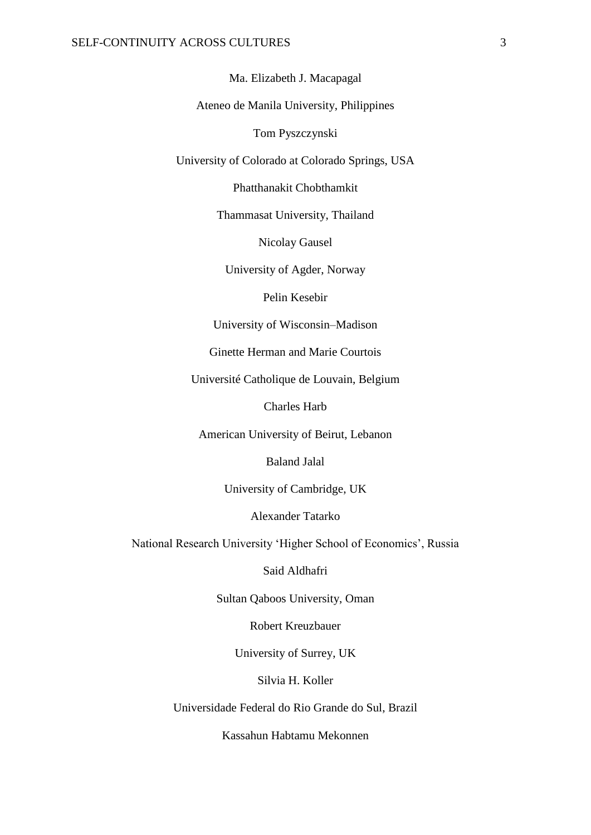Ma. Elizabeth J. Macapagal

Ateneo de Manila University, Philippines

Tom Pyszczynski

University of Colorado at Colorado Springs, USA

Phatthanakit Chobthamkit

Thammasat University, Thailand

Nicolay Gausel

University of Agder, Norway

Pelin Kesebir

University of Wisconsin–Madison

Ginette Herman and Marie Courtois

Université Catholique de Louvain, Belgium

Charles Harb

American University of Beirut, Lebanon

Baland Jalal

University of Cambridge, UK

Alexander Tatarko

National Research University 'Higher School of Economics', Russia

Said Aldhafri

Sultan Qaboos University, Oman

Robert Kreuzbauer

University of Surrey, UK

Silvia H. Koller

Universidade Federal do Rio Grande do Sul, Brazil

Kassahun Habtamu Mekonnen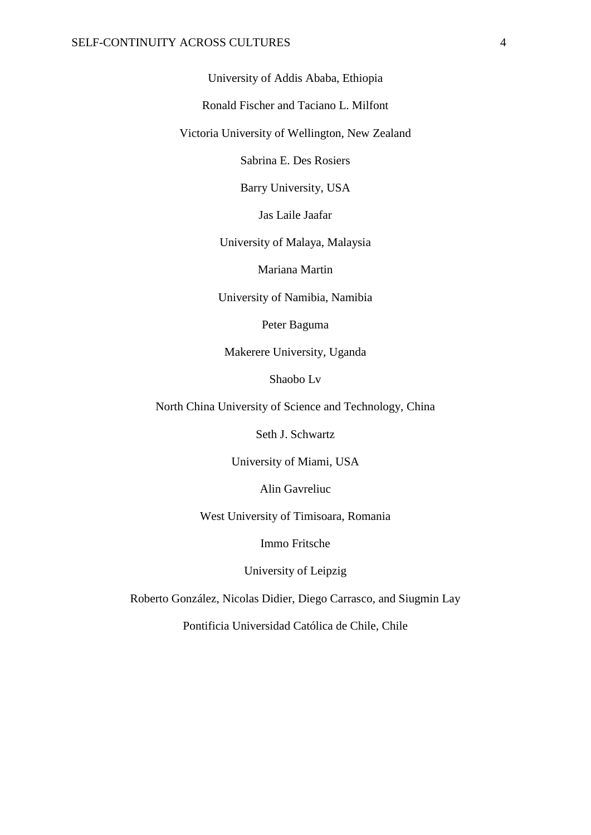## University of Addis Ababa, Ethiopia

## Ronald Fischer and Taciano L. Milfont

Victoria University of Wellington, New Zealand

Sabrina E. Des Rosiers

Barry University, USA

Jas Laile Jaafar

University of Malaya, Malaysia

Mariana Martin

University of Namibia, Namibia

Peter Baguma

Makerere University, Uganda

Shaobo Lv

North China University of Science and Technology, China

Seth J. Schwartz

University of Miami, USA

Alin Gavreliuc

West University of Timisoara, Romania

Immo Fritsche

University of Leipzig

Roberto González, Nicolas Didier, Diego Carrasco, and Siugmin Lay

Pontificia Universidad Católica de Chile, Chile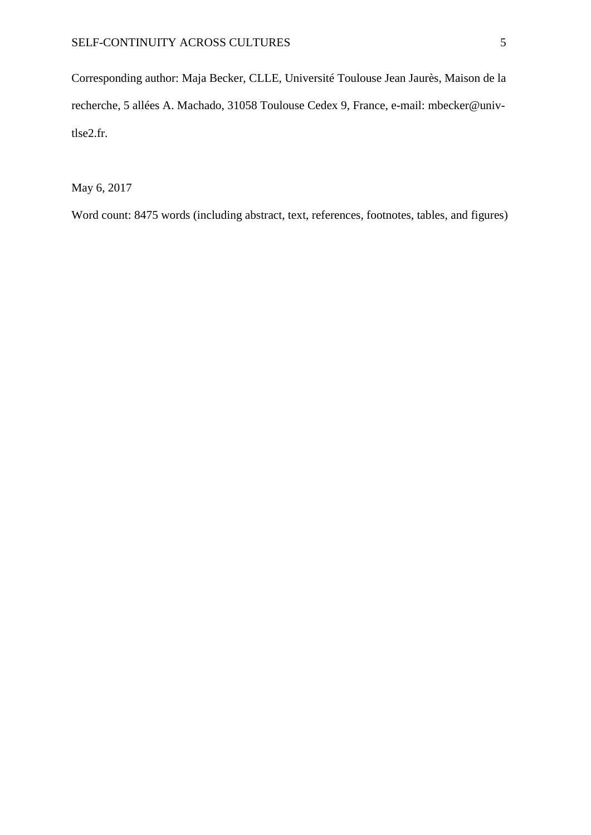Corresponding author: Maja Becker, CLLE, Université Toulouse Jean Jaurès, Maison de la recherche, 5 allées A. Machado, 31058 Toulouse Cedex 9, France, e-mail: mbecker@univtlse2.fr.

May 6, 2017

Word count: 8475 words (including abstract, text, references, footnotes, tables, and figures)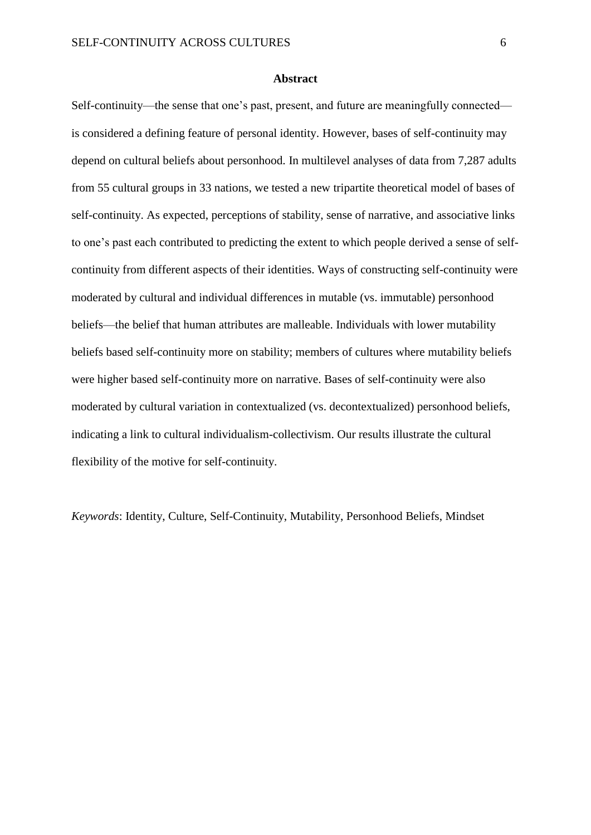#### **Abstract**

Self-continuity—the sense that one's past, present, and future are meaningfully connected is considered a defining feature of personal identity. However, bases of self-continuity may depend on cultural beliefs about personhood. In multilevel analyses of data from 7,287 adults from 55 cultural groups in 33 nations, we tested a new tripartite theoretical model of bases of self-continuity. As expected, perceptions of stability, sense of narrative, and associative links to one's past each contributed to predicting the extent to which people derived a sense of selfcontinuity from different aspects of their identities. Ways of constructing self-continuity were moderated by cultural and individual differences in mutable (vs. immutable) personhood beliefs—the belief that human attributes are malleable. Individuals with lower mutability beliefs based self-continuity more on stability; members of cultures where mutability beliefs were higher based self-continuity more on narrative. Bases of self-continuity were also moderated by cultural variation in contextualized (vs. decontextualized) personhood beliefs, indicating a link to cultural individualism-collectivism. Our results illustrate the cultural flexibility of the motive for self-continuity.

*Keywords*: Identity, Culture, Self-Continuity, Mutability, Personhood Beliefs, Mindset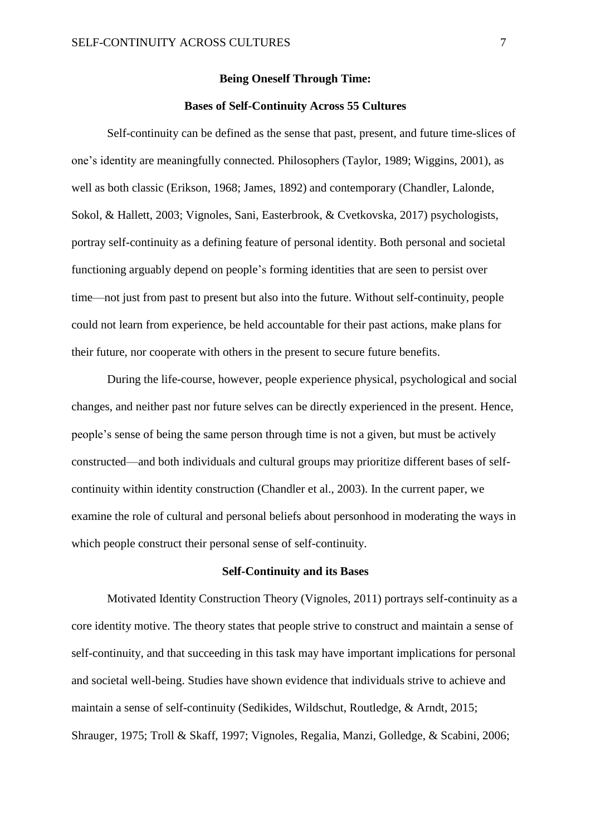#### **Being Oneself Through Time:**

#### **Bases of Self-Continuity Across 55 Cultures**

Self-continuity can be defined as the sense that past, present, and future time-slices of one's identity are meaningfully connected. Philosophers (Taylor, 1989; Wiggins, 2001), as well as both classic (Erikson, 1968; James, 1892) and contemporary (Chandler, Lalonde, Sokol, & Hallett, 2003; Vignoles, Sani, Easterbrook, & Cvetkovska, 2017) psychologists, portray self-continuity as a defining feature of personal identity. Both personal and societal functioning arguably depend on people's forming identities that are seen to persist over time—not just from past to present but also into the future. Without self-continuity, people could not learn from experience, be held accountable for their past actions, make plans for their future, nor cooperate with others in the present to secure future benefits.

During the life-course, however, people experience physical, psychological and social changes, and neither past nor future selves can be directly experienced in the present. Hence, people's sense of being the same person through time is not a given, but must be actively constructed—and both individuals and cultural groups may prioritize different bases of selfcontinuity within identity construction (Chandler et al., 2003). In the current paper, we examine the role of cultural and personal beliefs about personhood in moderating the ways in which people construct their personal sense of self-continuity.

#### **Self-Continuity and its Bases**

Motivated Identity Construction Theory (Vignoles, 2011) portrays self-continuity as a core identity motive. The theory states that people strive to construct and maintain a sense of self-continuity, and that succeeding in this task may have important implications for personal and societal well-being. Studies have shown evidence that individuals strive to achieve and maintain a sense of self-continuity (Sedikides, Wildschut, Routledge, & Arndt, 2015; Shrauger, 1975; Troll & Skaff, 1997; Vignoles, Regalia, Manzi, Golledge, & Scabini, 2006;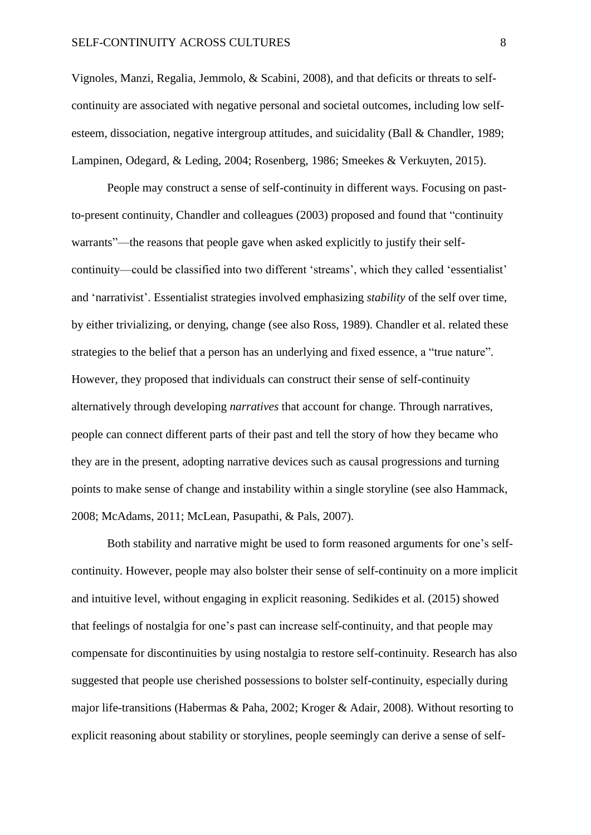Vignoles, Manzi, Regalia, Jemmolo, & Scabini, 2008), and that deficits or threats to selfcontinuity are associated with negative personal and societal outcomes, including low selfesteem, dissociation, negative intergroup attitudes, and suicidality (Ball & Chandler, 1989; Lampinen, Odegard, & Leding, 2004; Rosenberg, 1986; Smeekes & Verkuyten, 2015).

People may construct a sense of self-continuity in different ways. Focusing on pastto-present continuity, Chandler and colleagues (2003) proposed and found that "continuity warrants"—the reasons that people gave when asked explicitly to justify their selfcontinuity—could be classified into two different 'streams', which they called 'essentialist' and 'narrativist'. Essentialist strategies involved emphasizing *stability* of the self over time, by either trivializing, or denying, change (see also Ross, 1989). Chandler et al. related these strategies to the belief that a person has an underlying and fixed essence, a "true nature". However, they proposed that individuals can construct their sense of self-continuity alternatively through developing *narratives* that account for change. Through narratives, people can connect different parts of their past and tell the story of how they became who they are in the present, adopting narrative devices such as causal progressions and turning points to make sense of change and instability within a single storyline (see also Hammack, 2008; McAdams, 2011; McLean, Pasupathi, & Pals, 2007).

Both stability and narrative might be used to form reasoned arguments for one's selfcontinuity. However, people may also bolster their sense of self-continuity on a more implicit and intuitive level, without engaging in explicit reasoning. Sedikides et al. (2015) showed that feelings of nostalgia for one's past can increase self-continuity, and that people may compensate for discontinuities by using nostalgia to restore self-continuity. Research has also suggested that people use cherished possessions to bolster self-continuity, especially during major life-transitions (Habermas & Paha, 2002; Kroger & Adair, 2008). Without resorting to explicit reasoning about stability or storylines, people seemingly can derive a sense of self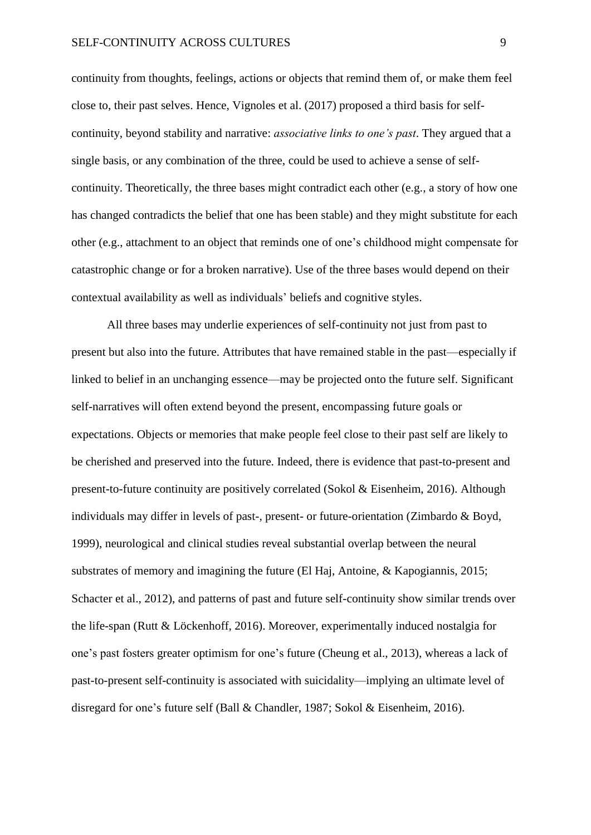continuity from thoughts, feelings, actions or objects that remind them of, or make them feel close to, their past selves. Hence, Vignoles et al. (2017) proposed a third basis for selfcontinuity, beyond stability and narrative: *associative links to one's past*. They argued that a single basis, or any combination of the three, could be used to achieve a sense of selfcontinuity. Theoretically, the three bases might contradict each other (e.g., a story of how one has changed contradicts the belief that one has been stable) and they might substitute for each other (e.g., attachment to an object that reminds one of one's childhood might compensate for catastrophic change or for a broken narrative). Use of the three bases would depend on their contextual availability as well as individuals' beliefs and cognitive styles.

All three bases may underlie experiences of self-continuity not just from past to present but also into the future. Attributes that have remained stable in the past—especially if linked to belief in an unchanging essence—may be projected onto the future self. Significant self-narratives will often extend beyond the present, encompassing future goals or expectations. Objects or memories that make people feel close to their past self are likely to be cherished and preserved into the future. Indeed, there is evidence that past-to-present and present-to-future continuity are positively correlated (Sokol & Eisenheim, 2016). Although individuals may differ in levels of past-, present- or future-orientation (Zimbardo & Boyd, 1999), neurological and clinical studies reveal substantial overlap between the neural substrates of memory and imagining the future (El Haj, Antoine, & Kapogiannis, 2015; Schacter et al., 2012), and patterns of past and future self-continuity show similar trends over the life-span (Rutt & Löckenhoff, 2016). Moreover, experimentally induced nostalgia for one's past fosters greater optimism for one's future (Cheung et al., 2013), whereas a lack of past-to-present self-continuity is associated with suicidality—implying an ultimate level of disregard for one's future self (Ball & Chandler, 1987; Sokol & Eisenheim, 2016).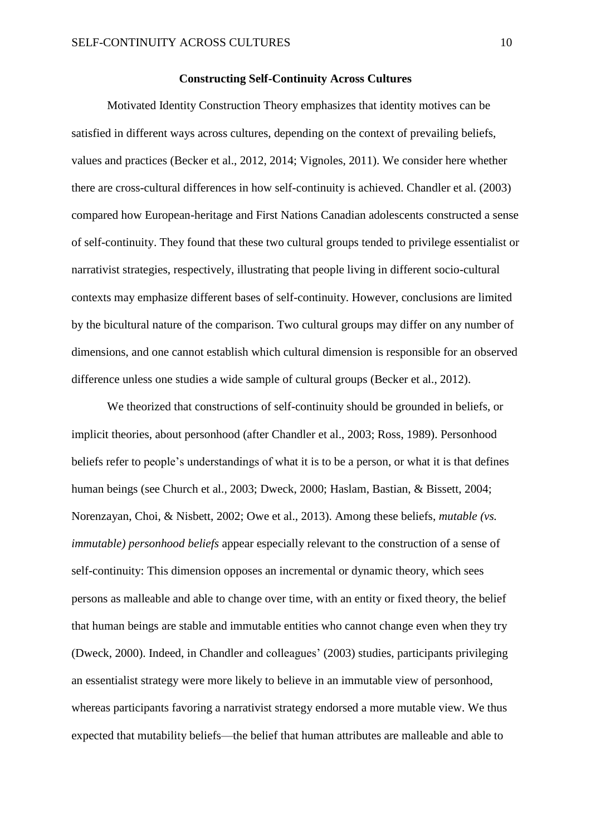## **Constructing Self-Continuity Across Cultures**

Motivated Identity Construction Theory emphasizes that identity motives can be satisfied in different ways across cultures, depending on the context of prevailing beliefs, values and practices (Becker et al., 2012, 2014; Vignoles, 2011). We consider here whether there are cross-cultural differences in how self-continuity is achieved. Chandler et al. (2003) compared how European-heritage and First Nations Canadian adolescents constructed a sense of self-continuity. They found that these two cultural groups tended to privilege essentialist or narrativist strategies, respectively, illustrating that people living in different socio-cultural contexts may emphasize different bases of self-continuity. However, conclusions are limited by the bicultural nature of the comparison. Two cultural groups may differ on any number of dimensions, and one cannot establish which cultural dimension is responsible for an observed difference unless one studies a wide sample of cultural groups (Becker et al., 2012).

We theorized that constructions of self-continuity should be grounded in beliefs, or implicit theories, about personhood (after Chandler et al., 2003; Ross, 1989). Personhood beliefs refer to people's understandings of what it is to be a person, or what it is that defines human beings (see Church et al., 2003; Dweck, 2000; Haslam, Bastian, & Bissett, 2004; Norenzayan, Choi, & Nisbett, 2002; Owe et al., 2013). Among these beliefs, *mutable (vs. immutable) personhood beliefs* appear especially relevant to the construction of a sense of self-continuity: This dimension opposes an incremental or dynamic theory, which sees persons as malleable and able to change over time, with an entity or fixed theory, the belief that human beings are stable and immutable entities who cannot change even when they try (Dweck, 2000). Indeed, in Chandler and colleagues' (2003) studies, participants privileging an essentialist strategy were more likely to believe in an immutable view of personhood, whereas participants favoring a narrativist strategy endorsed a more mutable view. We thus expected that mutability beliefs—the belief that human attributes are malleable and able to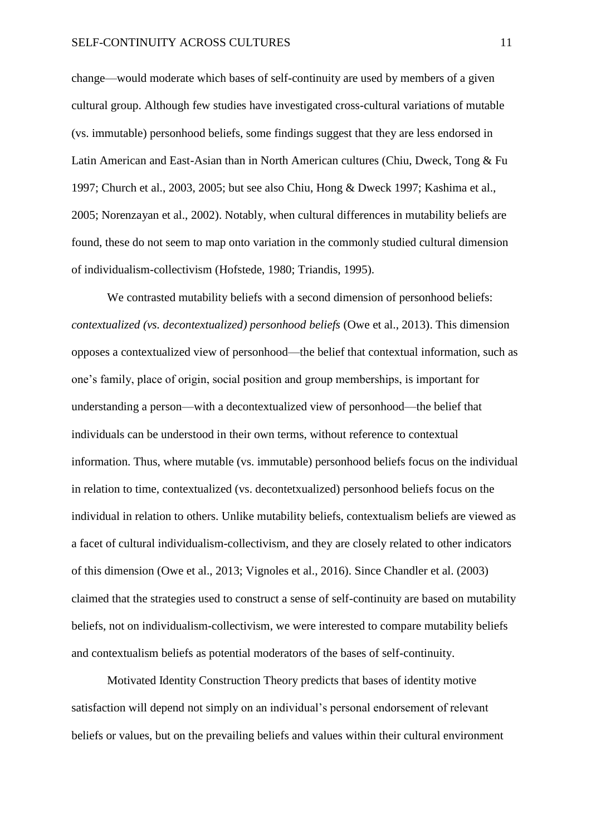change—would moderate which bases of self-continuity are used by members of a given cultural group. Although few studies have investigated cross-cultural variations of mutable (vs. immutable) personhood beliefs, some findings suggest that they are less endorsed in Latin American and East-Asian than in North American cultures (Chiu, Dweck, Tong & Fu 1997; Church et al., 2003, 2005; but see also Chiu, Hong & Dweck 1997; Kashima et al., 2005; Norenzayan et al., 2002). Notably, when cultural differences in mutability beliefs are found, these do not seem to map onto variation in the commonly studied cultural dimension of individualism-collectivism (Hofstede, 1980; Triandis, 1995).

We contrasted mutability beliefs with a second dimension of personhood beliefs: *contextualized (vs. decontextualized) personhood beliefs* (Owe et al., 2013). This dimension opposes a contextualized view of personhood—the belief that contextual information, such as one's family, place of origin, social position and group memberships, is important for understanding a person—with a decontextualized view of personhood—the belief that individuals can be understood in their own terms, without reference to contextual information. Thus, where mutable (vs. immutable) personhood beliefs focus on the individual in relation to time, contextualized (vs. decontetxualized) personhood beliefs focus on the individual in relation to others. Unlike mutability beliefs, contextualism beliefs are viewed as a facet of cultural individualism-collectivism, and they are closely related to other indicators of this dimension (Owe et al., 2013; Vignoles et al., 2016). Since Chandler et al. (2003) claimed that the strategies used to construct a sense of self-continuity are based on mutability beliefs, not on individualism-collectivism, we were interested to compare mutability beliefs and contextualism beliefs as potential moderators of the bases of self-continuity.

Motivated Identity Construction Theory predicts that bases of identity motive satisfaction will depend not simply on an individual's personal endorsement of relevant beliefs or values, but on the prevailing beliefs and values within their cultural environment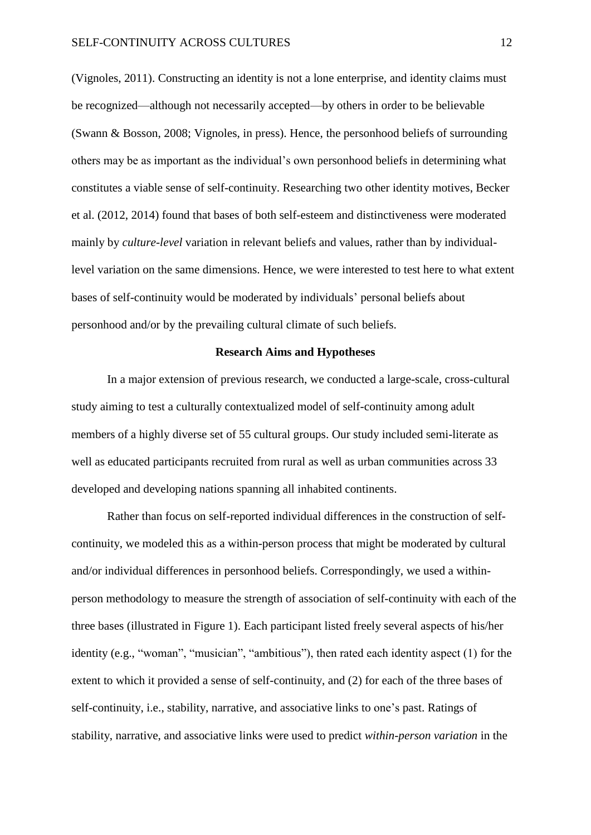(Vignoles, 2011). Constructing an identity is not a lone enterprise, and identity claims must be recognized—although not necessarily accepted—by others in order to be believable (Swann & Bosson, 2008; Vignoles, in press). Hence, the personhood beliefs of surrounding others may be as important as the individual's own personhood beliefs in determining what constitutes a viable sense of self-continuity. Researching two other identity motives, Becker et al. (2012, 2014) found that bases of both self-esteem and distinctiveness were moderated mainly by *culture-level* variation in relevant beliefs and values, rather than by individuallevel variation on the same dimensions. Hence, we were interested to test here to what extent bases of self-continuity would be moderated by individuals' personal beliefs about personhood and/or by the prevailing cultural climate of such beliefs.

#### **Research Aims and Hypotheses**

In a major extension of previous research, we conducted a large-scale, cross-cultural study aiming to test a culturally contextualized model of self-continuity among adult members of a highly diverse set of 55 cultural groups. Our study included semi-literate as well as educated participants recruited from rural as well as urban communities across 33 developed and developing nations spanning all inhabited continents.

Rather than focus on self-reported individual differences in the construction of selfcontinuity, we modeled this as a within-person process that might be moderated by cultural and/or individual differences in personhood beliefs. Correspondingly, we used a withinperson methodology to measure the strength of association of self-continuity with each of the three bases (illustrated in Figure 1). Each participant listed freely several aspects of his/her identity (e.g., "woman", "musician", "ambitious"), then rated each identity aspect (1) for the extent to which it provided a sense of self-continuity, and (2) for each of the three bases of self-continuity, i.e., stability, narrative, and associative links to one's past. Ratings of stability, narrative, and associative links were used to predict *within-person variation* in the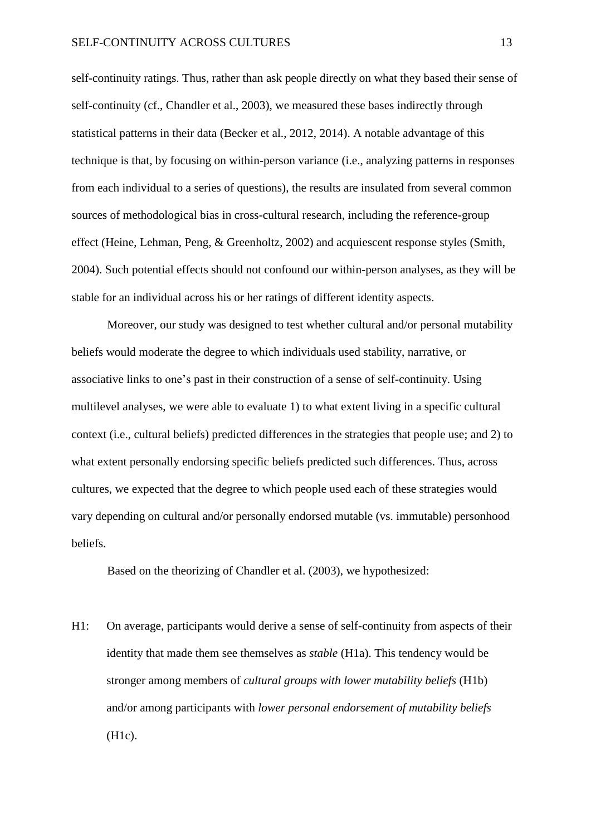self-continuity ratings. Thus, rather than ask people directly on what they based their sense of self-continuity (cf., Chandler et al., 2003), we measured these bases indirectly through statistical patterns in their data (Becker et al., 2012, 2014). A notable advantage of this technique is that, by focusing on within-person variance (i.e., analyzing patterns in responses from each individual to a series of questions), the results are insulated from several common sources of methodological bias in cross-cultural research, including the reference-group effect (Heine, Lehman, Peng, & Greenholtz, 2002) and acquiescent response styles (Smith, 2004). Such potential effects should not confound our within-person analyses, as they will be stable for an individual across his or her ratings of different identity aspects.

Moreover, our study was designed to test whether cultural and/or personal mutability beliefs would moderate the degree to which individuals used stability, narrative, or associative links to one's past in their construction of a sense of self-continuity. Using multilevel analyses, we were able to evaluate 1) to what extent living in a specific cultural context (i.e., cultural beliefs) predicted differences in the strategies that people use; and 2) to what extent personally endorsing specific beliefs predicted such differences. Thus, across cultures, we expected that the degree to which people used each of these strategies would vary depending on cultural and/or personally endorsed mutable (vs. immutable) personhood beliefs.

Based on the theorizing of Chandler et al. (2003), we hypothesized:

H1: On average, participants would derive a sense of self-continuity from aspects of their identity that made them see themselves as *stable* (H1a). This tendency would be stronger among members of *cultural groups with lower mutability beliefs* (H1b) and/or among participants with *lower personal endorsement of mutability beliefs* (H1c).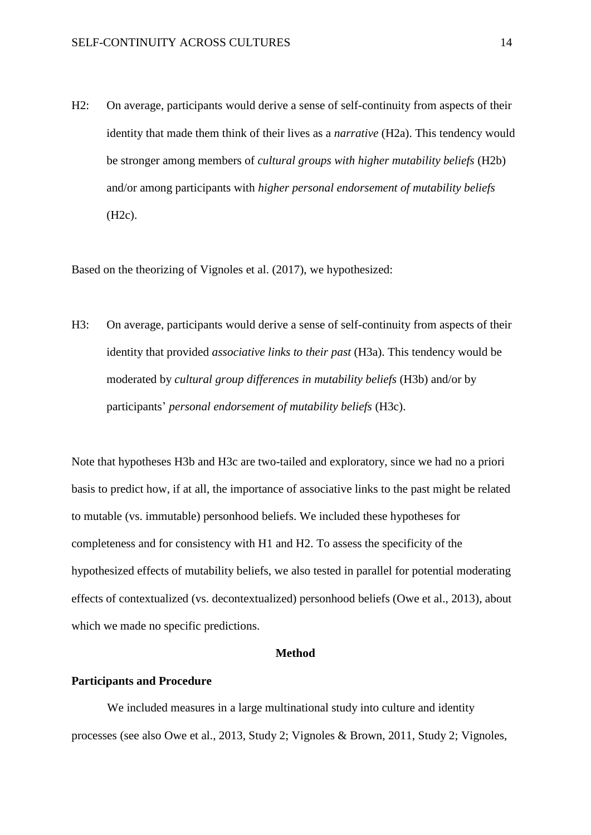H2: On average, participants would derive a sense of self-continuity from aspects of their identity that made them think of their lives as a *narrative* (H2a). This tendency would be stronger among members of *cultural groups with higher mutability beliefs* (H2b) and/or among participants with *higher personal endorsement of mutability beliefs* (H2c).

Based on the theorizing of Vignoles et al. (2017), we hypothesized:

H3: On average, participants would derive a sense of self-continuity from aspects of their identity that provided *associative links to their past* (H3a). This tendency would be moderated by *cultural group differences in mutability beliefs* (H3b) and/or by participants' *personal endorsement of mutability beliefs* (H3c).

Note that hypotheses H3b and H3c are two-tailed and exploratory, since we had no a priori basis to predict how, if at all, the importance of associative links to the past might be related to mutable (vs. immutable) personhood beliefs. We included these hypotheses for completeness and for consistency with H1 and H2. To assess the specificity of the hypothesized effects of mutability beliefs, we also tested in parallel for potential moderating effects of contextualized (vs. decontextualized) personhood beliefs (Owe et al., 2013), about which we made no specific predictions.

#### **Method**

## **Participants and Procedure**

We included measures in a large multinational study into culture and identity processes (see also Owe et al., 2013, Study 2; Vignoles & Brown, 2011, Study 2; Vignoles,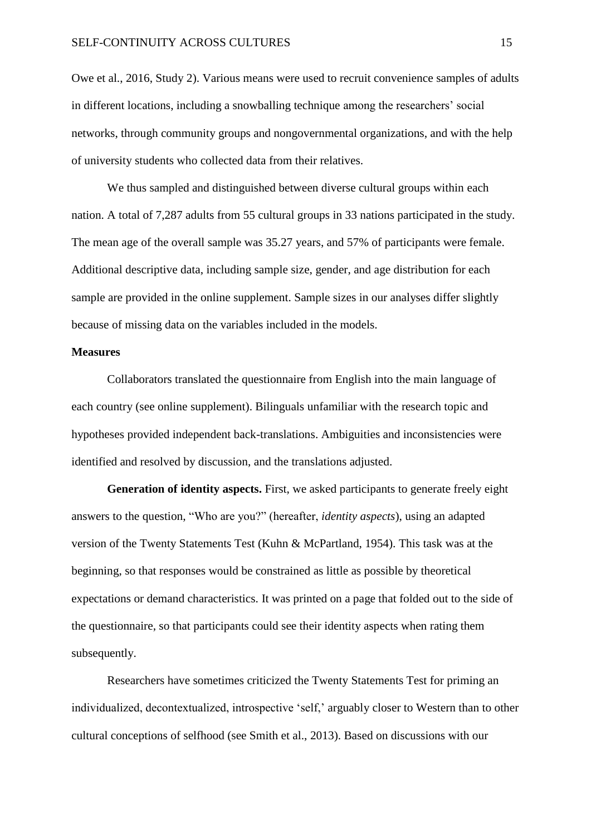Owe et al., 2016, Study 2). Various means were used to recruit convenience samples of adults in different locations, including a snowballing technique among the researchers' social networks, through community groups and nongovernmental organizations, and with the help of university students who collected data from their relatives.

We thus sampled and distinguished between diverse cultural groups within each nation. A total of 7,287 adults from 55 cultural groups in 33 nations participated in the study. The mean age of the overall sample was 35.27 years, and 57% of participants were female. Additional descriptive data, including sample size, gender, and age distribution for each sample are provided in the online supplement. Sample sizes in our analyses differ slightly because of missing data on the variables included in the models.

## **Measures**

Collaborators translated the questionnaire from English into the main language of each country (see online supplement). Bilinguals unfamiliar with the research topic and hypotheses provided independent back-translations. Ambiguities and inconsistencies were identified and resolved by discussion, and the translations adjusted.

**Generation of identity aspects.** First, we asked participants to generate freely eight answers to the question, "Who are you?" (hereafter, *identity aspects*), using an adapted version of the Twenty Statements Test (Kuhn & McPartland, 1954). This task was at the beginning, so that responses would be constrained as little as possible by theoretical expectations or demand characteristics. It was printed on a page that folded out to the side of the questionnaire, so that participants could see their identity aspects when rating them subsequently.

Researchers have sometimes criticized the Twenty Statements Test for priming an individualized, decontextualized, introspective 'self,' arguably closer to Western than to other cultural conceptions of selfhood (see Smith et al., 2013). Based on discussions with our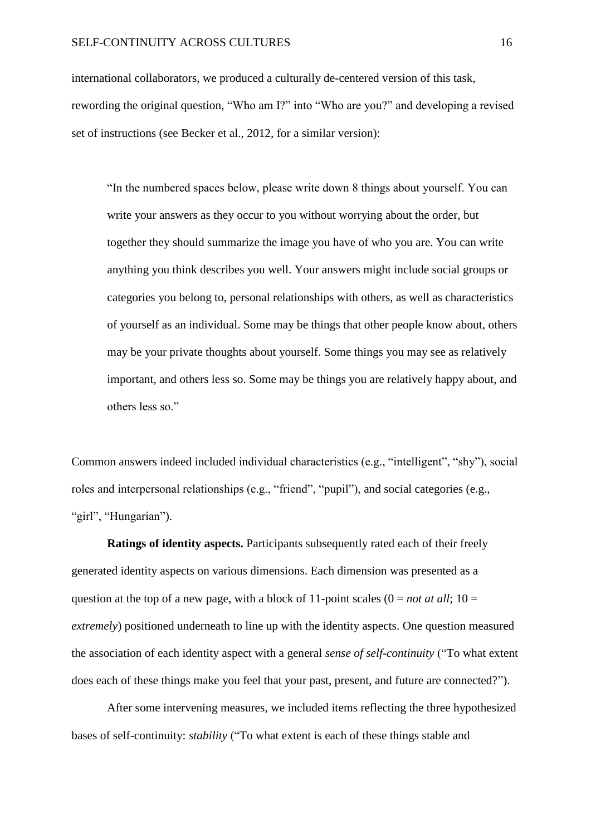international collaborators, we produced a culturally de-centered version of this task, rewording the original question, "Who am I?" into "Who are you?" and developing a revised set of instructions (see Becker et al., 2012, for a similar version):

"In the numbered spaces below, please write down 8 things about yourself. You can write your answers as they occur to you without worrying about the order, but together they should summarize the image you have of who you are. You can write anything you think describes you well. Your answers might include social groups or categories you belong to, personal relationships with others, as well as characteristics of yourself as an individual. Some may be things that other people know about, others may be your private thoughts about yourself. Some things you may see as relatively important, and others less so. Some may be things you are relatively happy about, and others less so."

Common answers indeed included individual characteristics (e.g., "intelligent", "shy"), social roles and interpersonal relationships (e.g., "friend", "pupil"), and social categories (e.g., "girl", "Hungarian").

**Ratings of identity aspects.** Participants subsequently rated each of their freely generated identity aspects on various dimensions. Each dimension was presented as a question at the top of a new page, with a block of 11-point scales  $(0 = not at all; 10 =$ *extremely*) positioned underneath to line up with the identity aspects. One question measured the association of each identity aspect with a general *sense of self-continuity* ("To what extent does each of these things make you feel that your past, present, and future are connected?").

After some intervening measures, we included items reflecting the three hypothesized bases of self-continuity: *stability* ("To what extent is each of these things stable and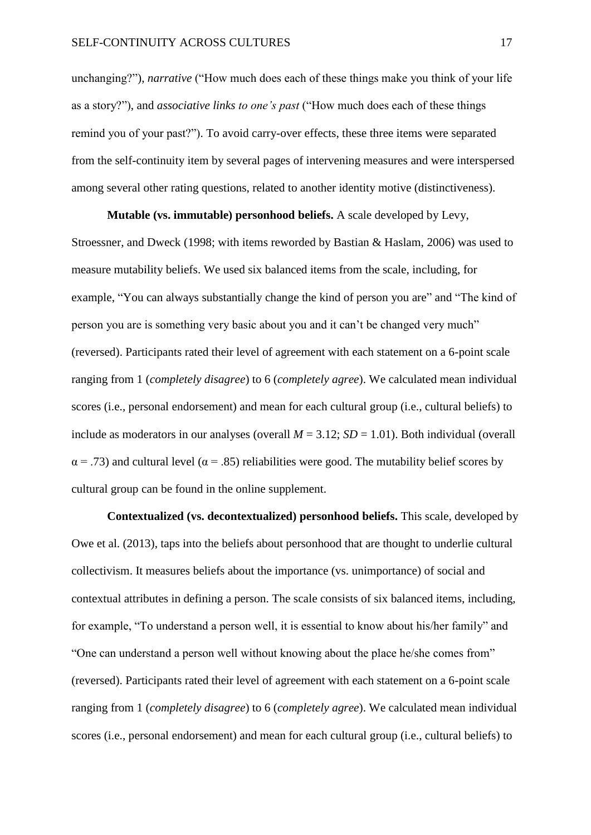unchanging?"), *narrative* ("How much does each of these things make you think of your life as a story?"), and *associative links to one's past* ("How much does each of these things remind you of your past?"). To avoid carry-over effects, these three items were separated from the self-continuity item by several pages of intervening measures and were interspersed among several other rating questions, related to another identity motive (distinctiveness).

**Mutable (vs. immutable) personhood beliefs.** A scale developed by Levy, Stroessner, and Dweck (1998; with items reworded by Bastian & Haslam, 2006) was used to measure mutability beliefs. We used six balanced items from the scale, including, for example, "You can always substantially change the kind of person you are" and "The kind of person you are is something very basic about you and it can't be changed very much" (reversed). Participants rated their level of agreement with each statement on a 6-point scale ranging from 1 (*completely disagree*) to 6 (*completely agree*). We calculated mean individual scores (i.e., personal endorsement) and mean for each cultural group (i.e., cultural beliefs) to include as moderators in our analyses (overall  $M = 3.12$ ;  $SD = 1.01$ ). Both individual (overall  $\alpha$  = .73) and cultural level ( $\alpha$  = .85) reliabilities were good. The mutability belief scores by cultural group can be found in the online supplement.

**Contextualized (vs. decontextualized) personhood beliefs.** This scale, developed by Owe et al. (2013), taps into the beliefs about personhood that are thought to underlie cultural collectivism. It measures beliefs about the importance (vs. unimportance) of social and contextual attributes in defining a person. The scale consists of six balanced items, including, for example, "To understand a person well, it is essential to know about his/her family" and "One can understand a person well without knowing about the place he/she comes from" (reversed). Participants rated their level of agreement with each statement on a 6-point scale ranging from 1 (*completely disagree*) to 6 (*completely agree*). We calculated mean individual scores (i.e., personal endorsement) and mean for each cultural group (i.e., cultural beliefs) to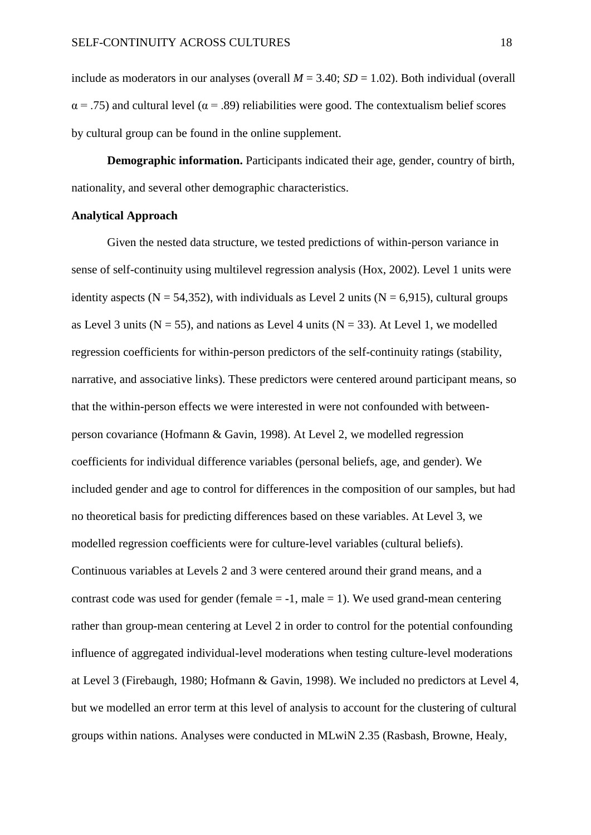include as moderators in our analyses (overall  $M = 3.40$ ;  $SD = 1.02$ ). Both individual (overall  $\alpha$  = .75) and cultural level ( $\alpha$  = .89) reliabilities were good. The contextualism belief scores by cultural group can be found in the online supplement.

**Demographic information.** Participants indicated their age, gender, country of birth, nationality, and several other demographic characteristics.

## **Analytical Approach**

Given the nested data structure, we tested predictions of within-person variance in sense of self-continuity using multilevel regression analysis (Hox, 2002). Level 1 units were identity aspects ( $N = 54,352$ ), with individuals as Level 2 units ( $N = 6,915$ ), cultural groups as Level 3 units ( $N = 55$ ), and nations as Level 4 units ( $N = 33$ ). At Level 1, we modelled regression coefficients for within-person predictors of the self-continuity ratings (stability, narrative, and associative links). These predictors were centered around participant means, so that the within-person effects we were interested in were not confounded with betweenperson covariance (Hofmann & Gavin, 1998). At Level 2, we modelled regression coefficients for individual difference variables (personal beliefs, age, and gender). We included gender and age to control for differences in the composition of our samples, but had no theoretical basis for predicting differences based on these variables. At Level 3, we modelled regression coefficients were for culture-level variables (cultural beliefs). Continuous variables at Levels 2 and 3 were centered around their grand means, and a contrast code was used for gender (female  $= -1$ , male  $= 1$ ). We used grand-mean centering rather than group-mean centering at Level 2 in order to control for the potential confounding influence of aggregated individual-level moderations when testing culture-level moderations at Level 3 (Firebaugh, 1980; Hofmann & Gavin, 1998). We included no predictors at Level 4, but we modelled an error term at this level of analysis to account for the clustering of cultural groups within nations. Analyses were conducted in MLwiN 2.35 (Rasbash, Browne, Healy,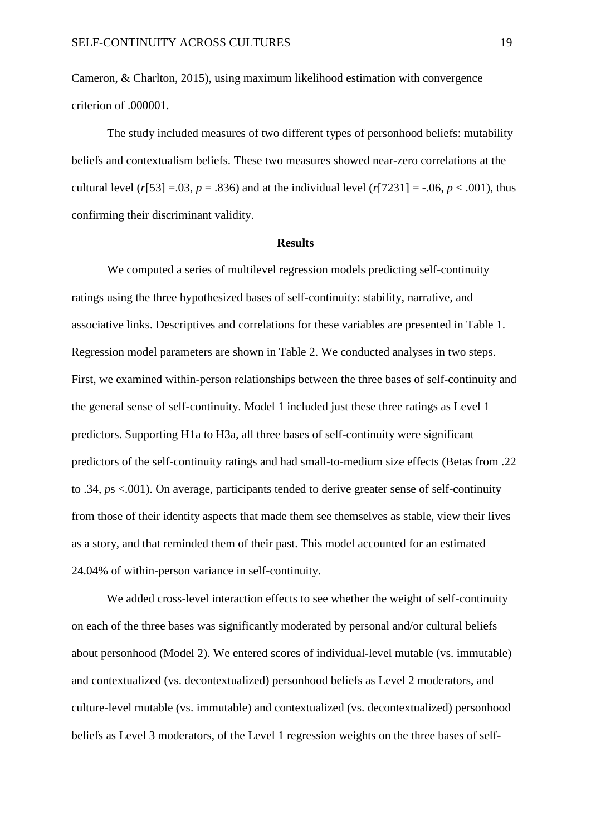Cameron, & Charlton, 2015), using maximum likelihood estimation with convergence criterion of .000001.

The study included measures of two different types of personhood beliefs: mutability beliefs and contextualism beliefs. These two measures showed near-zero correlations at the cultural level ( $r[53] = .03$ ,  $p = .836$ ) and at the individual level ( $r[7231] = -.06$ ,  $p < .001$ ), thus confirming their discriminant validity.

#### **Results**

We computed a series of multilevel regression models predicting self-continuity ratings using the three hypothesized bases of self-continuity: stability, narrative, and associative links. Descriptives and correlations for these variables are presented in Table 1. Regression model parameters are shown in Table 2. We conducted analyses in two steps. First, we examined within-person relationships between the three bases of self-continuity and the general sense of self-continuity. Model 1 included just these three ratings as Level 1 predictors. Supporting H1a to H3a, all three bases of self-continuity were significant predictors of the self-continuity ratings and had small-to-medium size effects (Betas from .22 to .34, *p*s <.001). On average, participants tended to derive greater sense of self-continuity from those of their identity aspects that made them see themselves as stable, view their lives as a story, and that reminded them of their past. This model accounted for an estimated 24.04% of within-person variance in self-continuity.

We added cross-level interaction effects to see whether the weight of self-continuity on each of the three bases was significantly moderated by personal and/or cultural beliefs about personhood (Model 2). We entered scores of individual-level mutable (vs. immutable) and contextualized (vs. decontextualized) personhood beliefs as Level 2 moderators, and culture-level mutable (vs. immutable) and contextualized (vs. decontextualized) personhood beliefs as Level 3 moderators, of the Level 1 regression weights on the three bases of self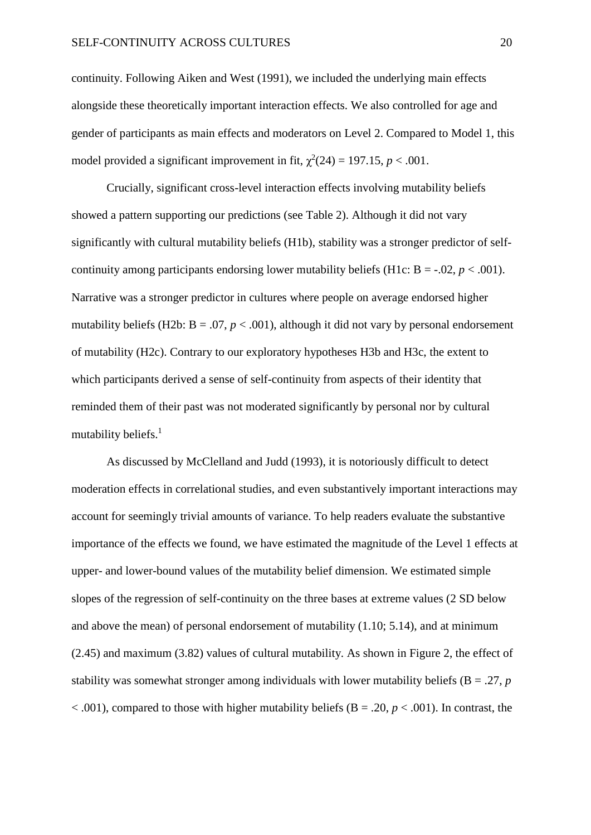continuity. Following Aiken and West (1991), we included the underlying main effects alongside these theoretically important interaction effects. We also controlled for age and gender of participants as main effects and moderators on Level 2. Compared to Model 1, this model provided a significant improvement in fit,  $\chi^2(24) = 197.15$ ,  $p < .001$ .

Crucially, significant cross-level interaction effects involving mutability beliefs showed a pattern supporting our predictions (see Table 2). Although it did not vary significantly with cultural mutability beliefs (H1b), stability was a stronger predictor of selfcontinuity among participants endorsing lower mutability beliefs (H1c:  $B = -0.02$ ,  $p < .001$ ). Narrative was a stronger predictor in cultures where people on average endorsed higher mutability beliefs (H2b:  $B = .07$ ,  $p < .001$ ), although it did not vary by personal endorsement of mutability (H2c). Contrary to our exploratory hypotheses H3b and H3c, the extent to which participants derived a sense of self-continuity from aspects of their identity that reminded them of their past was not moderated significantly by personal nor by cultural mutability beliefs. $<sup>1</sup>$ </sup>

As discussed by McClelland and Judd (1993), it is notoriously difficult to detect moderation effects in correlational studies, and even substantively important interactions may account for seemingly trivial amounts of variance. To help readers evaluate the substantive importance of the effects we found, we have estimated the magnitude of the Level 1 effects at upper- and lower-bound values of the mutability belief dimension. We estimated simple slopes of the regression of self-continuity on the three bases at extreme values (2 SD below and above the mean) of personal endorsement of mutability (1.10; 5.14), and at minimum (2.45) and maximum (3.82) values of cultural mutability. As shown in Figure 2, the effect of stability was somewhat stronger among individuals with lower mutability beliefs ( $B = .27$ , *p*  $< .001$ ), compared to those with higher mutability beliefs (B = .20, *p*  $< .001$ ). In contrast, the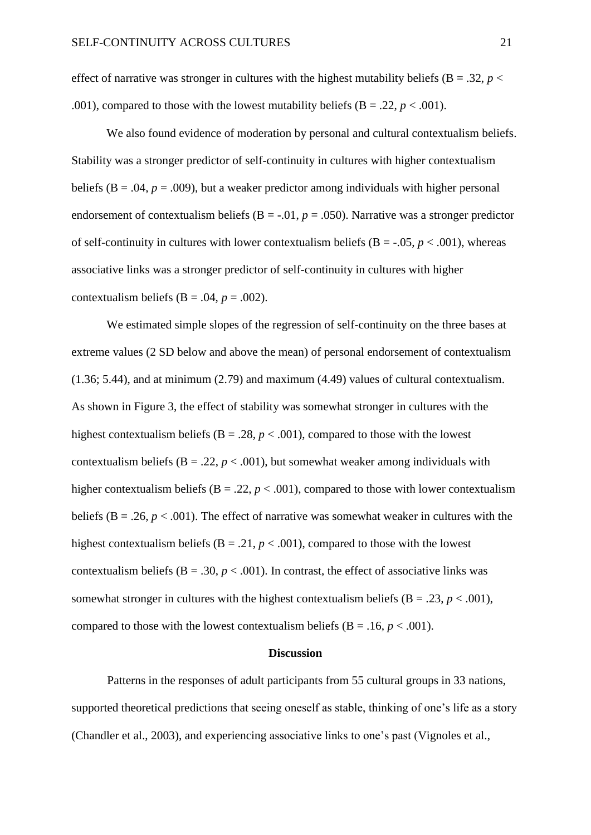effect of narrative was stronger in cultures with the highest mutability beliefs ( $B = .32$ ,  $p <$ .001), compared to those with the lowest mutability beliefs  $(B = .22, p < .001)$ .

We also found evidence of moderation by personal and cultural contextualism beliefs. Stability was a stronger predictor of self-continuity in cultures with higher contextualism beliefs ( $B = .04$ ,  $p = .009$ ), but a weaker predictor among individuals with higher personal endorsement of contextualism beliefs ( $B = -0.01$ ,  $p = 0.050$ ). Narrative was a stronger predictor of self-continuity in cultures with lower contextualism beliefs  $(B = -0.05, p < .001)$ , whereas associative links was a stronger predictor of self-continuity in cultures with higher contextualism beliefs ( $B = .04$ ,  $p = .002$ ).

We estimated simple slopes of the regression of self-continuity on the three bases at extreme values (2 SD below and above the mean) of personal endorsement of contextualism (1.36; 5.44), and at minimum (2.79) and maximum (4.49) values of cultural contextualism. As shown in Figure 3, the effect of stability was somewhat stronger in cultures with the highest contextualism beliefs ( $B = .28$ ,  $p < .001$ ), compared to those with the lowest contextualism beliefs ( $B = 0.22$ ,  $p < 0.001$ ), but somewhat weaker among individuals with higher contextualism beliefs ( $B = .22$ ,  $p < .001$ ), compared to those with lower contextualism beliefs ( $B = .26$ ,  $p < .001$ ). The effect of narrative was somewhat weaker in cultures with the highest contextualism beliefs ( $B = .21$ ,  $p < .001$ ), compared to those with the lowest contextualism beliefs ( $B = .30$ ,  $p < .001$ ). In contrast, the effect of associative links was somewhat stronger in cultures with the highest contextualism beliefs  $(B = .23, p < .001)$ , compared to those with the lowest contextualism beliefs  $(B = .16, p < .001)$ .

#### **Discussion**

Patterns in the responses of adult participants from 55 cultural groups in 33 nations, supported theoretical predictions that seeing oneself as stable, thinking of one's life as a story (Chandler et al., 2003), and experiencing associative links to one's past (Vignoles et al.,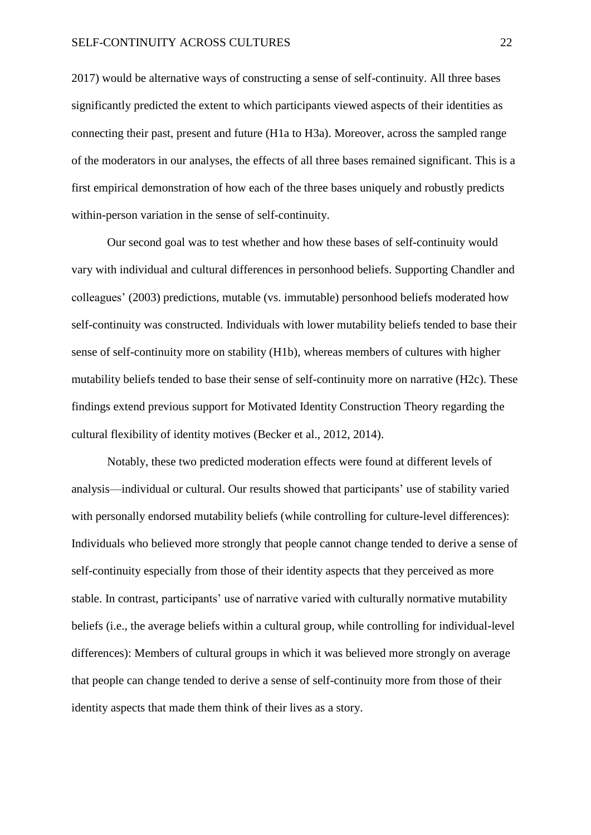2017) would be alternative ways of constructing a sense of self-continuity. All three bases significantly predicted the extent to which participants viewed aspects of their identities as connecting their past, present and future (H1a to H3a). Moreover, across the sampled range of the moderators in our analyses, the effects of all three bases remained significant. This is a first empirical demonstration of how each of the three bases uniquely and robustly predicts within-person variation in the sense of self-continuity.

Our second goal was to test whether and how these bases of self-continuity would vary with individual and cultural differences in personhood beliefs. Supporting Chandler and colleagues' (2003) predictions, mutable (vs. immutable) personhood beliefs moderated how self-continuity was constructed. Individuals with lower mutability beliefs tended to base their sense of self-continuity more on stability (H1b), whereas members of cultures with higher mutability beliefs tended to base their sense of self-continuity more on narrative (H2c). These findings extend previous support for Motivated Identity Construction Theory regarding the cultural flexibility of identity motives (Becker et al., 2012, 2014).

Notably, these two predicted moderation effects were found at different levels of analysis—individual or cultural. Our results showed that participants' use of stability varied with personally endorsed mutability beliefs (while controlling for culture-level differences): Individuals who believed more strongly that people cannot change tended to derive a sense of self-continuity especially from those of their identity aspects that they perceived as more stable. In contrast, participants' use of narrative varied with culturally normative mutability beliefs (i.e., the average beliefs within a cultural group, while controlling for individual-level differences): Members of cultural groups in which it was believed more strongly on average that people can change tended to derive a sense of self-continuity more from those of their identity aspects that made them think of their lives as a story.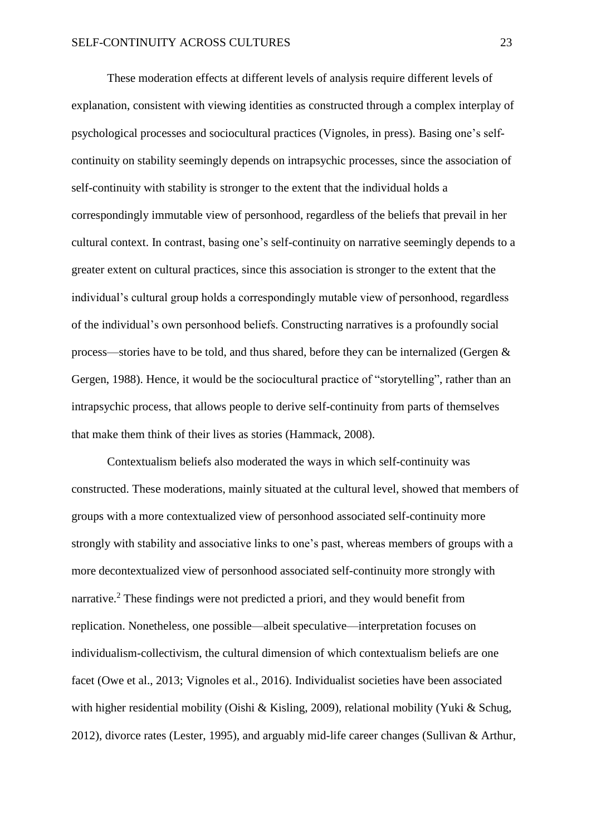These moderation effects at different levels of analysis require different levels of explanation, consistent with viewing identities as constructed through a complex interplay of psychological processes and sociocultural practices (Vignoles, in press). Basing one's selfcontinuity on stability seemingly depends on intrapsychic processes, since the association of self-continuity with stability is stronger to the extent that the individual holds a correspondingly immutable view of personhood, regardless of the beliefs that prevail in her cultural context. In contrast, basing one's self-continuity on narrative seemingly depends to a greater extent on cultural practices, since this association is stronger to the extent that the individual's cultural group holds a correspondingly mutable view of personhood, regardless of the individual's own personhood beliefs. Constructing narratives is a profoundly social process—stories have to be told, and thus shared, before they can be internalized (Gergen & Gergen, 1988). Hence, it would be the sociocultural practice of "storytelling", rather than an intrapsychic process, that allows people to derive self-continuity from parts of themselves that make them think of their lives as stories (Hammack, 2008).

Contextualism beliefs also moderated the ways in which self-continuity was constructed. These moderations, mainly situated at the cultural level, showed that members of groups with a more contextualized view of personhood associated self-continuity more strongly with stability and associative links to one's past, whereas members of groups with a more decontextualized view of personhood associated self-continuity more strongly with narrative. <sup>2</sup> These findings were not predicted a priori, and they would benefit from replication. Nonetheless, one possible—albeit speculative—interpretation focuses on individualism-collectivism, the cultural dimension of which contextualism beliefs are one facet (Owe et al., 2013; Vignoles et al., 2016). Individualist societies have been associated with higher residential mobility (Oishi & Kisling, 2009), relational mobility (Yuki & Schug, 2012), divorce rates (Lester, 1995), and arguably mid-life career changes (Sullivan & Arthur,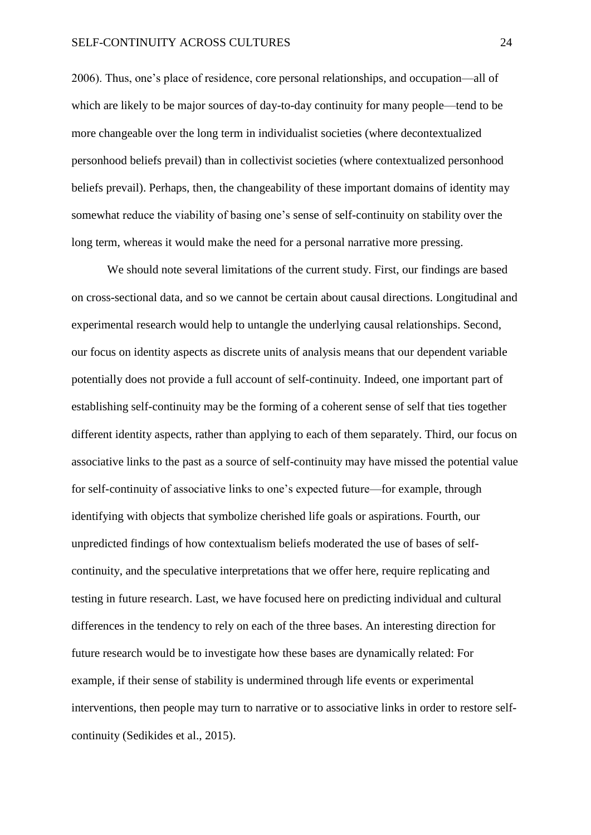2006). Thus, one's place of residence, core personal relationships, and occupation—all of which are likely to be major sources of day-to-day continuity for many people—tend to be more changeable over the long term in individualist societies (where decontextualized personhood beliefs prevail) than in collectivist societies (where contextualized personhood beliefs prevail). Perhaps, then, the changeability of these important domains of identity may somewhat reduce the viability of basing one's sense of self-continuity on stability over the long term, whereas it would make the need for a personal narrative more pressing.

We should note several limitations of the current study. First, our findings are based on cross-sectional data, and so we cannot be certain about causal directions. Longitudinal and experimental research would help to untangle the underlying causal relationships. Second, our focus on identity aspects as discrete units of analysis means that our dependent variable potentially does not provide a full account of self-continuity. Indeed, one important part of establishing self-continuity may be the forming of a coherent sense of self that ties together different identity aspects, rather than applying to each of them separately. Third, our focus on associative links to the past as a source of self-continuity may have missed the potential value for self-continuity of associative links to one's expected future—for example, through identifying with objects that symbolize cherished life goals or aspirations. Fourth, our unpredicted findings of how contextualism beliefs moderated the use of bases of selfcontinuity, and the speculative interpretations that we offer here, require replicating and testing in future research. Last, we have focused here on predicting individual and cultural differences in the tendency to rely on each of the three bases. An interesting direction for future research would be to investigate how these bases are dynamically related: For example, if their sense of stability is undermined through life events or experimental interventions, then people may turn to narrative or to associative links in order to restore selfcontinuity (Sedikides et al., 2015).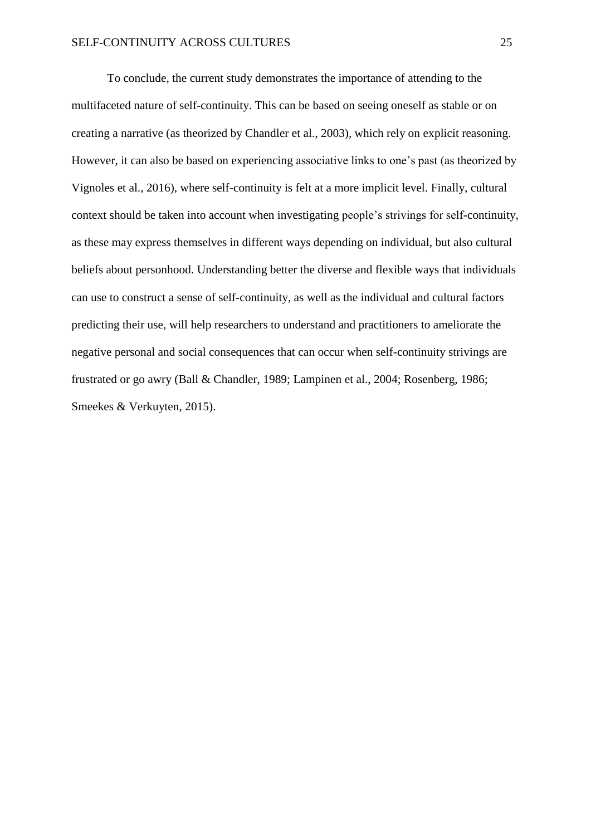To conclude, the current study demonstrates the importance of attending to the multifaceted nature of self-continuity. This can be based on seeing oneself as stable or on creating a narrative (as theorized by Chandler et al., 2003), which rely on explicit reasoning. However, it can also be based on experiencing associative links to one's past (as theorized by Vignoles et al., 2016), where self-continuity is felt at a more implicit level. Finally, cultural context should be taken into account when investigating people's strivings for self-continuity, as these may express themselves in different ways depending on individual, but also cultural beliefs about personhood. Understanding better the diverse and flexible ways that individuals can use to construct a sense of self-continuity, as well as the individual and cultural factors predicting their use, will help researchers to understand and practitioners to ameliorate the negative personal and social consequences that can occur when self-continuity strivings are frustrated or go awry (Ball & Chandler, 1989; Lampinen et al., 2004; Rosenberg, 1986; Smeekes & Verkuyten, 2015).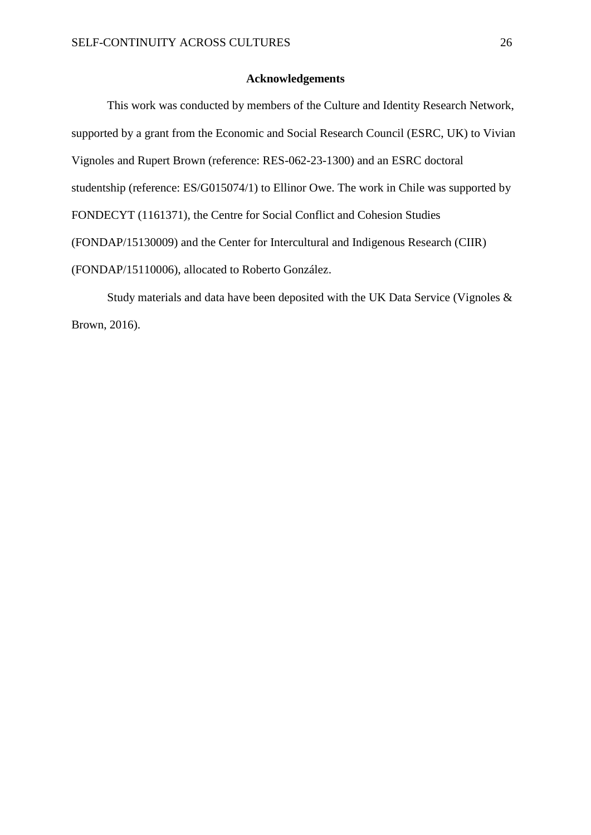#### **Acknowledgements**

This work was conducted by members of the Culture and Identity Research Network, supported by a grant from the Economic and Social Research Council (ESRC, UK) to Vivian Vignoles and Rupert Brown (reference: RES-062-23-1300) and an ESRC doctoral studentship (reference: ES/G015074/1) to Ellinor Owe. The work in Chile was supported by FONDECYT (1161371), the Centre for Social Conflict and Cohesion Studies (FONDAP/15130009) and the Center for Intercultural and Indigenous Research (CIIR) (FONDAP/15110006), allocated to Roberto González.

Study materials and data have been deposited with the UK Data Service (Vignoles & Brown, 2016).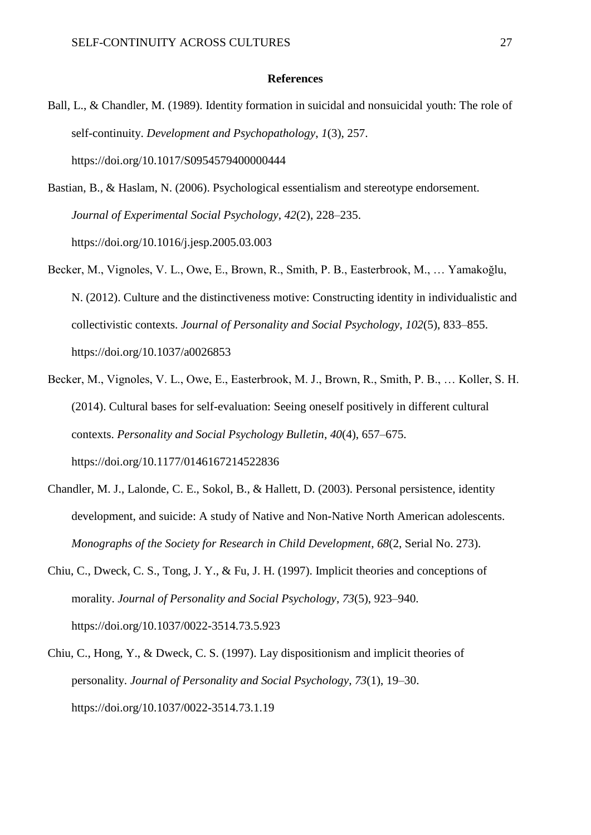#### **References**

- Ball, L., & Chandler, M. (1989). Identity formation in suicidal and nonsuicidal youth: The role of self-continuity. *Development and Psychopathology*, *1*(3), 257. https://doi.org/10.1017/S0954579400000444
- Bastian, B., & Haslam, N. (2006). Psychological essentialism and stereotype endorsement. *Journal of Experimental Social Psychology*, *42*(2), 228–235. https://doi.org/10.1016/j.jesp.2005.03.003
- Becker, M., Vignoles, V. L., Owe, E., Brown, R., Smith, P. B., Easterbrook, M., … Yamakoğlu, N. (2012). Culture and the distinctiveness motive: Constructing identity in individualistic and collectivistic contexts. *Journal of Personality and Social Psychology*, *102*(5), 833–855. https://doi.org/10.1037/a0026853
- Becker, M., Vignoles, V. L., Owe, E., Easterbrook, M. J., Brown, R., Smith, P. B., … Koller, S. H. (2014). Cultural bases for self-evaluation: Seeing oneself positively in different cultural contexts. *Personality and Social Psychology Bulletin*, *40*(4), 657–675. https://doi.org/10.1177/0146167214522836
- Chandler, M. J., Lalonde, C. E., Sokol, B., & Hallett, D. (2003). Personal persistence, identity development, and suicide: A study of Native and Non-Native North American adolescents. *Monographs of the Society for Research in Child Development*, *68*(2, Serial No. 273).
- Chiu, C., Dweck, C. S., Tong, J. Y., & Fu, J. H. (1997). Implicit theories and conceptions of morality. *Journal of Personality and Social Psychology*, *73*(5), 923–940. https://doi.org/10.1037/0022-3514.73.5.923
- Chiu, C., Hong, Y., & Dweck, C. S. (1997). Lay dispositionism and implicit theories of personality. *Journal of Personality and Social Psychology*, *73*(1), 19–30. https://doi.org/10.1037/0022-3514.73.1.19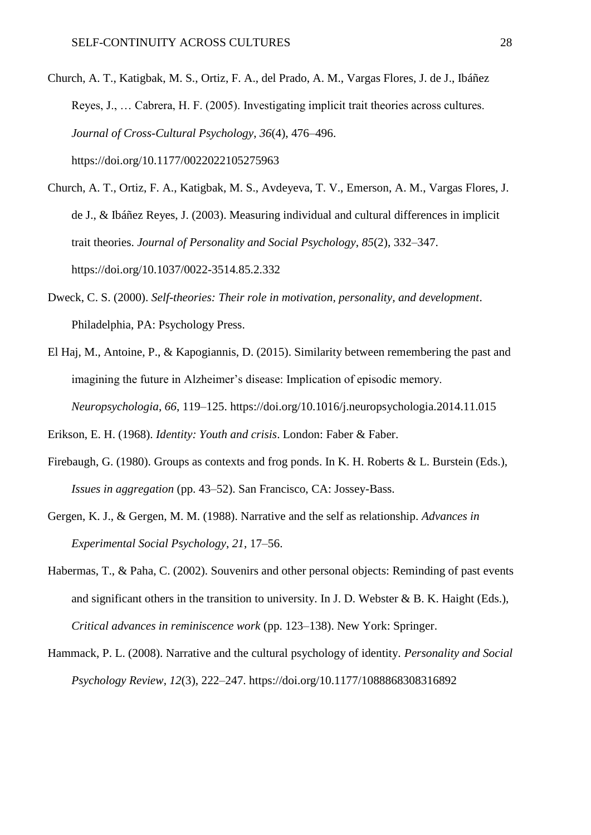- Church, A. T., Katigbak, M. S., Ortiz, F. A., del Prado, A. M., Vargas Flores, J. de J., Ibáñez Reyes, J., … Cabrera, H. F. (2005). Investigating implicit trait theories across cultures. *Journal of Cross-Cultural Psychology*, *36*(4), 476–496. https://doi.org/10.1177/0022022105275963
- Church, A. T., Ortiz, F. A., Katigbak, M. S., Avdeyeva, T. V., Emerson, A. M., Vargas Flores, J. de J., & Ibáñez Reyes, J. (2003). Measuring individual and cultural differences in implicit trait theories. *Journal of Personality and Social Psychology*, *85*(2), 332–347. https://doi.org/10.1037/0022-3514.85.2.332
- Dweck, C. S. (2000). *Self-theories: Their role in motivation, personality, and development*. Philadelphia, PA: Psychology Press.
- El Haj, M., Antoine, P., & Kapogiannis, D. (2015). Similarity between remembering the past and imagining the future in Alzheimer's disease: Implication of episodic memory. *Neuropsychologia*, *66*, 119–125. https://doi.org/10.1016/j.neuropsychologia.2014.11.015

Erikson, E. H. (1968). *Identity: Youth and crisis*. London: Faber & Faber.

- Firebaugh, G. (1980). Groups as contexts and frog ponds. In K. H. Roberts & L. Burstein (Eds.), *Issues in aggregation* (pp. 43–52). San Francisco, CA: Jossey-Bass.
- Gergen, K. J., & Gergen, M. M. (1988). Narrative and the self as relationship. *Advances in Experimental Social Psychology*, *21*, 17–56.
- Habermas, T., & Paha, C. (2002). Souvenirs and other personal objects: Reminding of past events and significant others in the transition to university. In J. D. Webster & B. K. Haight (Eds.), *Critical advances in reminiscence work* (pp. 123–138). New York: Springer.
- Hammack, P. L. (2008). Narrative and the cultural psychology of identity. *Personality and Social Psychology Review*, *12*(3), 222–247. https://doi.org/10.1177/1088868308316892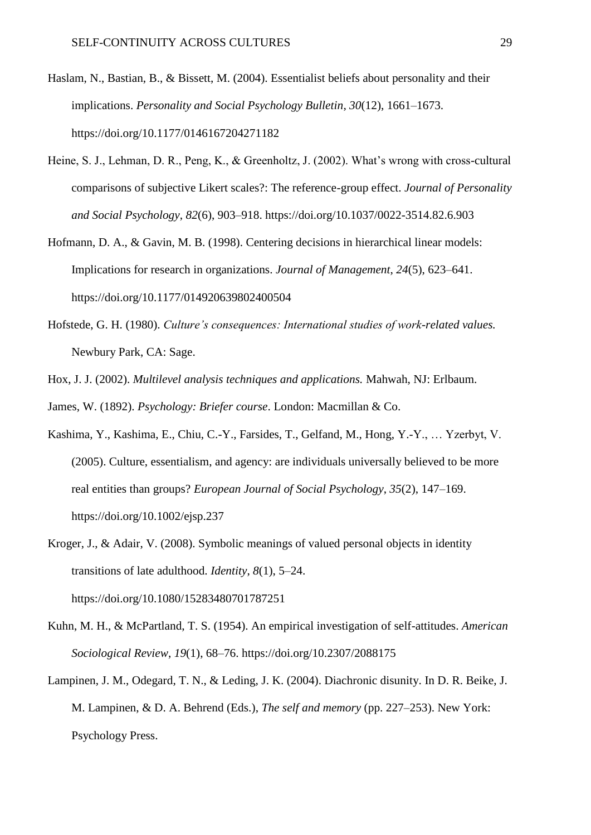- Haslam, N., Bastian, B., & Bissett, M. (2004). Essentialist beliefs about personality and their implications. *Personality and Social Psychology Bulletin*, *30*(12), 1661–1673. https://doi.org/10.1177/0146167204271182
- Heine, S. J., Lehman, D. R., Peng, K., & Greenholtz, J. (2002). What's wrong with cross-cultural comparisons of subjective Likert scales?: The reference-group effect. *Journal of Personality and Social Psychology*, *82*(6), 903–918. https://doi.org/10.1037/0022-3514.82.6.903
- Hofmann, D. A., & Gavin, M. B. (1998). Centering decisions in hierarchical linear models: Implications for research in organizations. *Journal of Management*, *24*(5), 623–641. https://doi.org/10.1177/014920639802400504
- Hofstede, G. H. (1980). *Culture's consequences: International studies of work-related values.* Newbury Park, CA: Sage.
- Hox, J. J. (2002). *Multilevel analysis techniques and applications.* Mahwah, NJ: Erlbaum.
- James, W. (1892). *Psychology: Briefer course*. London: Macmillan & Co.
- Kashima, Y., Kashima, E., Chiu, C.-Y., Farsides, T., Gelfand, M., Hong, Y.-Y., … Yzerbyt, V. (2005). Culture, essentialism, and agency: are individuals universally believed to be more real entities than groups? *European Journal of Social Psychology*, *35*(2), 147–169. https://doi.org/10.1002/ejsp.237
- Kroger, J., & Adair, V. (2008). Symbolic meanings of valued personal objects in identity transitions of late adulthood. *Identity*, *8*(1), 5–24. https://doi.org/10.1080/15283480701787251
- Kuhn, M. H., & McPartland, T. S. (1954). An empirical investigation of self-attitudes. *American Sociological Review*, *19*(1), 68–76. https://doi.org/10.2307/2088175
- Lampinen, J. M., Odegard, T. N., & Leding, J. K. (2004). Diachronic disunity. In D. R. Beike, J. M. Lampinen, & D. A. Behrend (Eds.), *The self and memory* (pp. 227–253). New York: Psychology Press.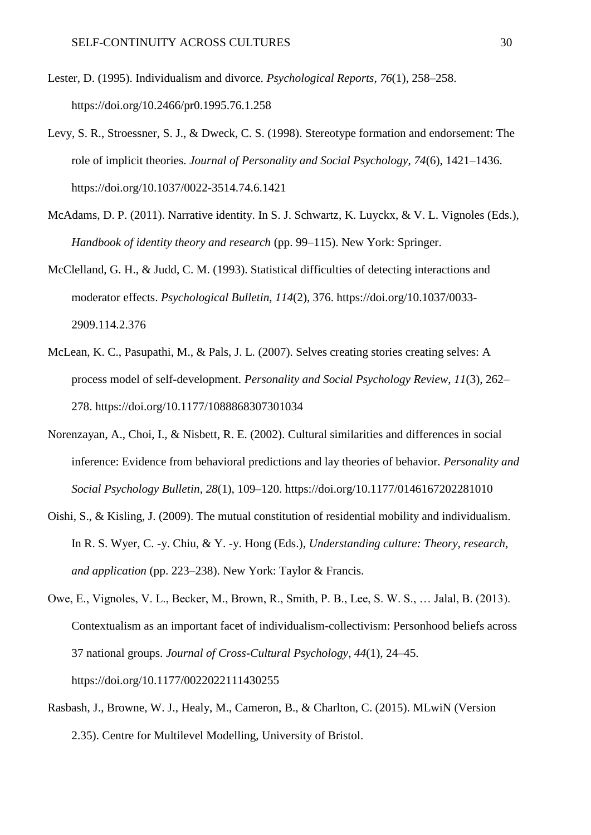- Lester, D. (1995). Individualism and divorce. *Psychological Reports*, *76*(1), 258–258. https://doi.org/10.2466/pr0.1995.76.1.258
- Levy, S. R., Stroessner, S. J., & Dweck, C. S. (1998). Stereotype formation and endorsement: The role of implicit theories. *Journal of Personality and Social Psychology*, *74*(6), 1421–1436. https://doi.org/10.1037/0022-3514.74.6.1421
- McAdams, D. P. (2011). Narrative identity. In S. J. Schwartz, K. Luyckx, & V. L. Vignoles (Eds.), *Handbook of identity theory and research* (pp. 99–115). New York: Springer.
- McClelland, G. H., & Judd, C. M. (1993). Statistical difficulties of detecting interactions and moderator effects. *Psychological Bulletin*, *114*(2), 376. https://doi.org/10.1037/0033- 2909.114.2.376
- McLean, K. C., Pasupathi, M., & Pals, J. L. (2007). Selves creating stories creating selves: A process model of self-development. *Personality and Social Psychology Review*, *11*(3), 262– 278. https://doi.org/10.1177/1088868307301034
- Norenzayan, A., Choi, I., & Nisbett, R. E. (2002). Cultural similarities and differences in social inference: Evidence from behavioral predictions and lay theories of behavior. *Personality and Social Psychology Bulletin*, *28*(1), 109–120. https://doi.org/10.1177/0146167202281010
- Oishi, S., & Kisling, J. (2009). The mutual constitution of residential mobility and individualism. In R. S. Wyer, C. -y. Chiu, & Y. -y. Hong (Eds.), *Understanding culture: Theory, research, and application* (pp. 223–238). New York: Taylor & Francis.
- Owe, E., Vignoles, V. L., Becker, M., Brown, R., Smith, P. B., Lee, S. W. S., … Jalal, B. (2013). Contextualism as an important facet of individualism-collectivism: Personhood beliefs across 37 national groups. *Journal of Cross-Cultural Psychology*, *44*(1), 24–45. https://doi.org/10.1177/0022022111430255
- Rasbash, J., Browne, W. J., Healy, M., Cameron, B., & Charlton, C. (2015). MLwiN (Version 2.35). Centre for Multilevel Modelling, University of Bristol.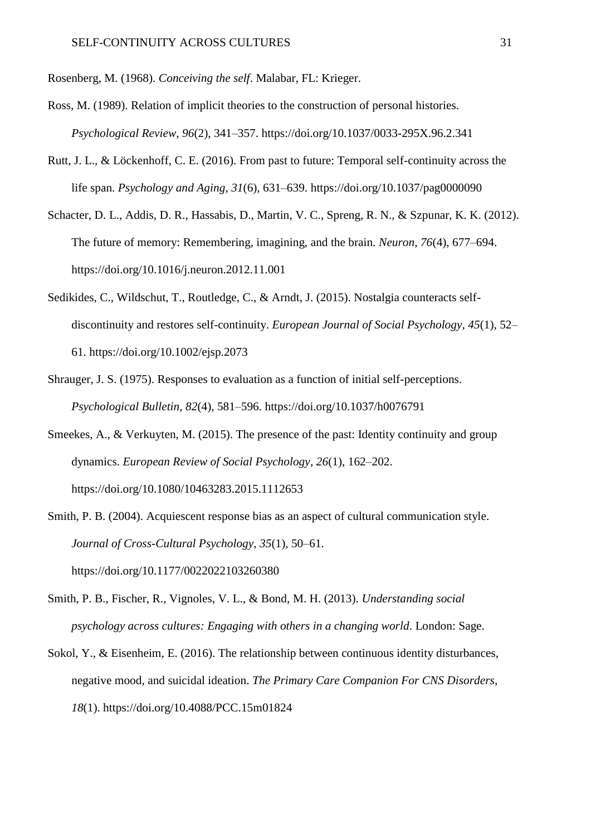Rosenberg, M. (1968). *Conceiving the self*. Malabar, FL: Krieger.

- Ross, M. (1989). Relation of implicit theories to the construction of personal histories. *Psychological Review*, *96*(2), 341–357. https://doi.org/10.1037/0033-295X.96.2.341
- Rutt, J. L., & Löckenhoff, C. E. (2016). From past to future: Temporal self-continuity across the life span. *Psychology and Aging*, *31*(6), 631–639. https://doi.org/10.1037/pag0000090
- Schacter, D. L., Addis, D. R., Hassabis, D., Martin, V. C., Spreng, R. N., & Szpunar, K. K. (2012). The future of memory: Remembering, imagining, and the brain. *Neuron*, *76*(4), 677–694. https://doi.org/10.1016/j.neuron.2012.11.001
- Sedikides, C., Wildschut, T., Routledge, C., & Arndt, J. (2015). Nostalgia counteracts selfdiscontinuity and restores self-continuity. *European Journal of Social Psychology*, *45*(1), 52– 61. https://doi.org/10.1002/ejsp.2073
- Shrauger, J. S. (1975). Responses to evaluation as a function of initial self-perceptions. *Psychological Bulletin*, *82*(4), 581–596. https://doi.org/10.1037/h0076791
- Smeekes, A., & Verkuyten, M. (2015). The presence of the past: Identity continuity and group dynamics. *European Review of Social Psychology*, *26*(1), 162–202. https://doi.org/10.1080/10463283.2015.1112653
- Smith, P. B. (2004). Acquiescent response bias as an aspect of cultural communication style. *Journal of Cross-Cultural Psychology*, *35*(1), 50–61. https://doi.org/10.1177/0022022103260380
- Smith, P. B., Fischer, R., Vignoles, V. L., & Bond, M. H. (2013). *Understanding social psychology across cultures: Engaging with others in a changing world*. London: Sage.
- Sokol, Y., & Eisenheim, E. (2016). The relationship between continuous identity disturbances, negative mood, and suicidal ideation. *The Primary Care Companion For CNS Disorders*, *18*(1). https://doi.org/10.4088/PCC.15m01824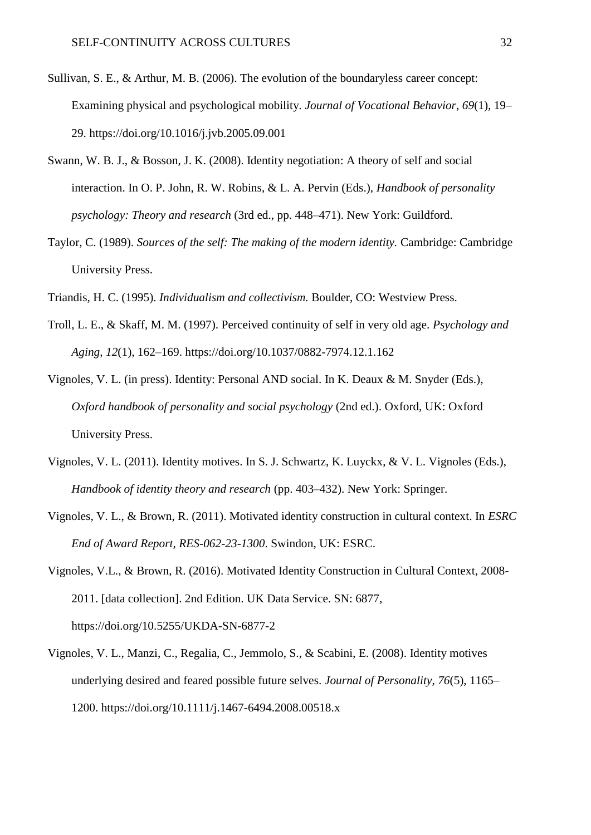- Sullivan, S. E., & Arthur, M. B. (2006). The evolution of the boundaryless career concept: Examining physical and psychological mobility. *Journal of Vocational Behavior*, *69*(1), 19– 29. https://doi.org/10.1016/j.jvb.2005.09.001
- Swann, W. B. J., & Bosson, J. K. (2008). Identity negotiation: A theory of self and social interaction. In O. P. John, R. W. Robins, & L. A. Pervin (Eds.), *Handbook of personality psychology: Theory and research* (3rd ed., pp. 448–471). New York: Guildford.
- Taylor, C. (1989). *Sources of the self: The making of the modern identity.* Cambridge: Cambridge University Press.
- Triandis, H. C. (1995). *Individualism and collectivism.* Boulder, CO: Westview Press.
- Troll, L. E., & Skaff, M. M. (1997). Perceived continuity of self in very old age. *Psychology and Aging*, *12*(1), 162–169. https://doi.org/10.1037/0882-7974.12.1.162
- Vignoles, V. L. (in press). Identity: Personal AND social. In K. Deaux & M. Snyder (Eds.), *Oxford handbook of personality and social psychology* (2nd ed.). Oxford, UK: Oxford University Press.
- Vignoles, V. L. (2011). Identity motives. In S. J. Schwartz, K. Luyckx, & V. L. Vignoles (Eds.), *Handbook of identity theory and research* (pp. 403–432). New York: Springer.
- Vignoles, V. L., & Brown, R. (2011). Motivated identity construction in cultural context. In *ESRC End of Award Report, RES-062-23-1300*. Swindon, UK: ESRC.
- Vignoles, V.L., & Brown, R. (2016). Motivated Identity Construction in Cultural Context, 2008- 2011. [data collection]. 2nd Edition. UK Data Service. SN: 6877, https://doi.org/10.5255/UKDA-SN-6877-2
- Vignoles, V. L., Manzi, C., Regalia, C., Jemmolo, S., & Scabini, E. (2008). Identity motives underlying desired and feared possible future selves. *Journal of Personality*, *76*(5), 1165– 1200. https://doi.org/10.1111/j.1467-6494.2008.00518.x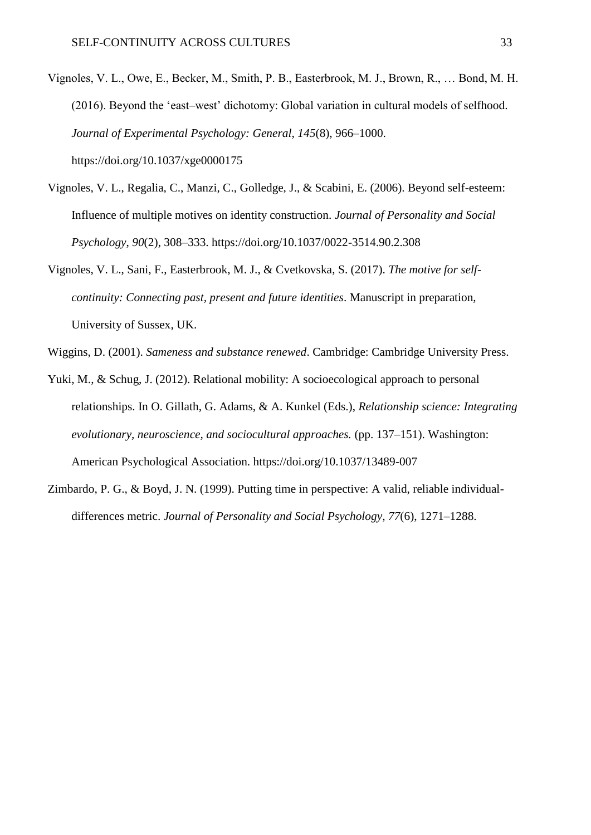- Vignoles, V. L., Owe, E., Becker, M., Smith, P. B., Easterbrook, M. J., Brown, R., … Bond, M. H. (2016). Beyond the 'east–west' dichotomy: Global variation in cultural models of selfhood. *Journal of Experimental Psychology: General*, *145*(8), 966–1000. https://doi.org/10.1037/xge0000175
- Vignoles, V. L., Regalia, C., Manzi, C., Golledge, J., & Scabini, E. (2006). Beyond self-esteem: Influence of multiple motives on identity construction. *Journal of Personality and Social Psychology*, *90*(2), 308–333. https://doi.org/10.1037/0022-3514.90.2.308
- Vignoles, V. L., Sani, F., Easterbrook, M. J., & Cvetkovska, S. (2017). *The motive for selfcontinuity: Connecting past, present and future identities*. Manuscript in preparation, University of Sussex, UK.

Wiggins, D. (2001). *Sameness and substance renewed*. Cambridge: Cambridge University Press.

- Yuki, M., & Schug, J. (2012). Relational mobility: A socioecological approach to personal relationships. In O. Gillath, G. Adams, & A. Kunkel (Eds.), *Relationship science: Integrating evolutionary, neuroscience, and sociocultural approaches.* (pp. 137–151). Washington: American Psychological Association. https://doi.org/10.1037/13489-007
- Zimbardo, P. G., & Boyd, J. N. (1999). Putting time in perspective: A valid, reliable individualdifferences metric. *Journal of Personality and Social Psychology*, *77*(6), 1271–1288.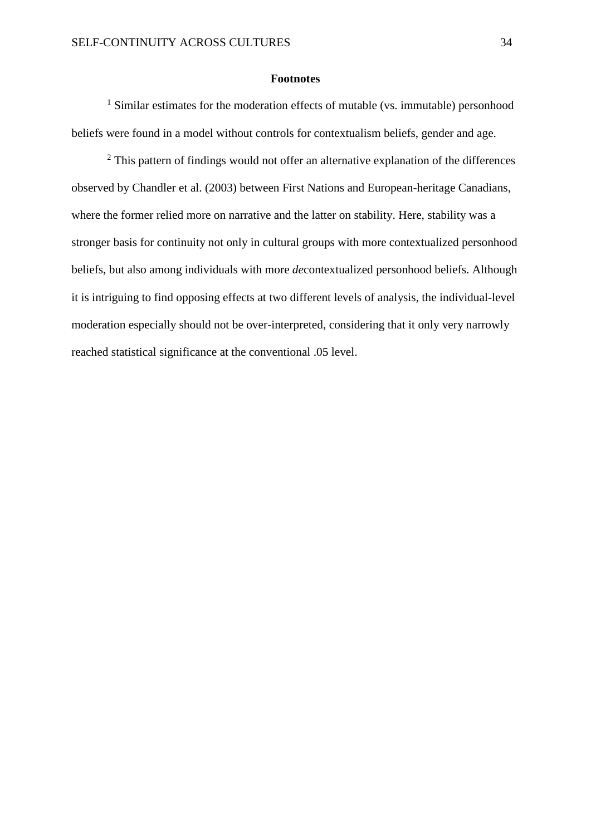#### **Footnotes**

<sup>1</sup> Similar estimates for the moderation effects of mutable (vs. immutable) personhood beliefs were found in a model without controls for contextualism beliefs, gender and age.

 $2$  This pattern of findings would not offer an alternative explanation of the differences observed by Chandler et al. (2003) between First Nations and European-heritage Canadians, where the former relied more on narrative and the latter on stability. Here, stability was a stronger basis for continuity not only in cultural groups with more contextualized personhood beliefs, but also among individuals with more *de*contextualized personhood beliefs. Although it is intriguing to find opposing effects at two different levels of analysis, the individual-level moderation especially should not be over-interpreted, considering that it only very narrowly reached statistical significance at the conventional .05 level.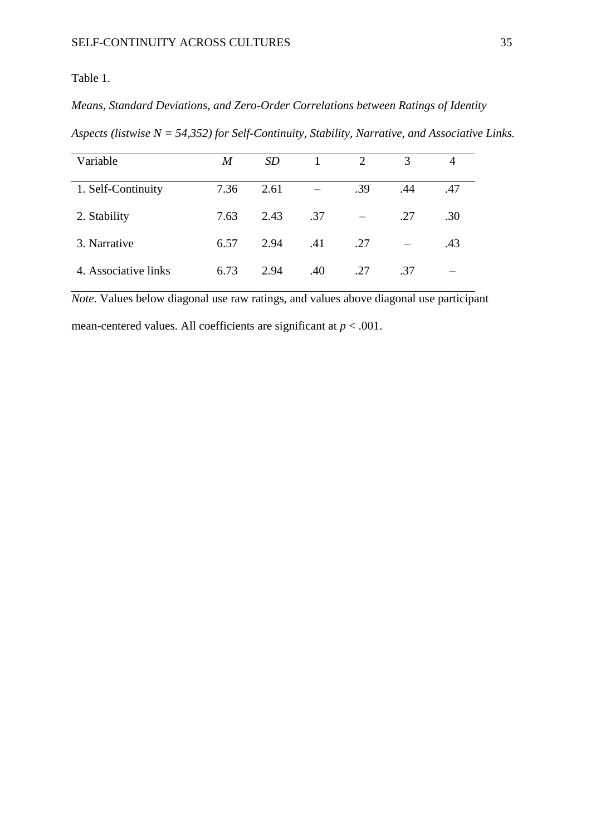## Table 1.

*Means, Standard Deviations, and Zero-Order Correlations between Ratings of Identity* 

*Aspects (listwise N = 54,352) for Self-Continuity, Stability, Narrative, and Associative Links.* 

| Variable             | M    | SD   |     | $\mathcal{D}_{\mathcal{L}}$ | 3   | 4   |
|----------------------|------|------|-----|-----------------------------|-----|-----|
| 1. Self-Continuity   | 7.36 | 2.61 |     | .39                         | .44 | .47 |
| 2. Stability         | 7.63 | 2.43 | .37 |                             | .27 | .30 |
| 3. Narrative         | 6.57 | 2.94 | .41 | .27                         |     | .43 |
| 4. Associative links | 6.73 | 2.94 | .40 | .27                         | .37 |     |

*Note*. Values below diagonal use raw ratings, and values above diagonal use participant mean-centered values. All coefficients are significant at *p* < .001.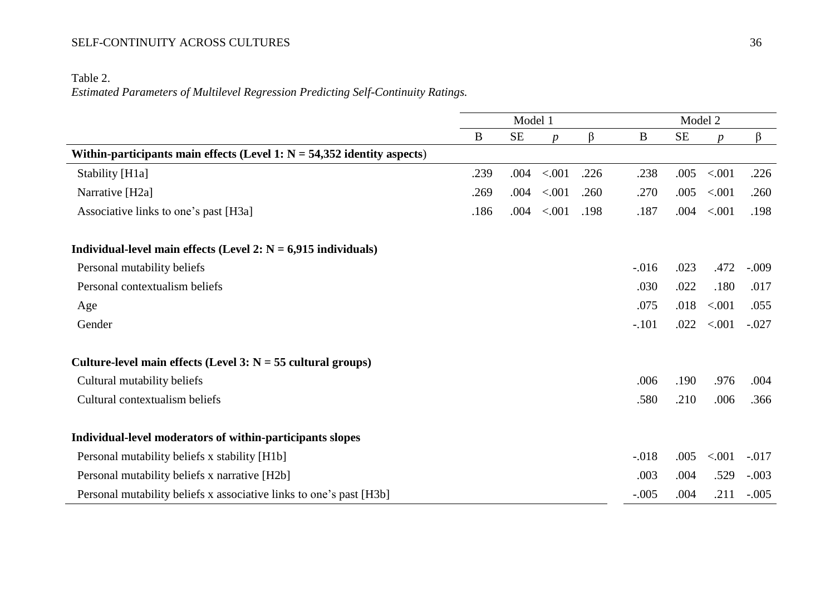## Table 2.

*Estimated Parameters of Multilevel Regression Predicting Self-Continuity Ratings.*

|                                                                           |      | Model 1   |                  |         |          | Model 2   |                  |         |  |  |  |
|---------------------------------------------------------------------------|------|-----------|------------------|---------|----------|-----------|------------------|---------|--|--|--|
|                                                                           | B    | <b>SE</b> | $\boldsymbol{p}$ | $\beta$ | B        | <b>SE</b> | $\boldsymbol{p}$ | $\beta$ |  |  |  |
| Within-participants main effects (Level 1: $N = 54,352$ identity aspects) |      |           |                  |         |          |           |                  |         |  |  |  |
| Stability [H1a]                                                           | .239 | .004      | < 0.001          | .226    | .238     | .005      | < .001           | .226    |  |  |  |
| Narrative [H2a]                                                           | .269 | .004      | < 0.001          | .260    | .270     | .005      | < 0.001          | .260    |  |  |  |
| Associative links to one's past [H3a]                                     | .186 | .004      | < 0.001          | .198    | .187     | .004      | < 0.001          | .198    |  |  |  |
| Individual-level main effects (Level 2: $N = 6,915$ individuals)          |      |           |                  |         |          |           |                  |         |  |  |  |
| Personal mutability beliefs                                               |      |           |                  |         | $-0.016$ | .023      | .472             | $-.009$ |  |  |  |
| Personal contextualism beliefs                                            |      |           |                  |         | .030     | .022      | .180             | .017    |  |  |  |
| Age                                                                       |      |           |                  |         | .075     | .018      | < .001           | .055    |  |  |  |
| Gender                                                                    |      |           |                  |         | $-.101$  | .022      | < 0.001          | $-.027$ |  |  |  |
| Culture-level main effects (Level 3: $N = 55$ cultural groups)            |      |           |                  |         |          |           |                  |         |  |  |  |
| Cultural mutability beliefs                                               |      |           |                  |         | .006     | .190      | .976             | .004    |  |  |  |
| Cultural contextualism beliefs                                            |      |           |                  |         | .580     | .210      | .006             | .366    |  |  |  |
| Individual-level moderators of within-participants slopes                 |      |           |                  |         |          |           |                  |         |  |  |  |
| Personal mutability beliefs x stability [H1b]                             |      |           |                  |         | $-.018$  | .005      | < .001           | $-.017$ |  |  |  |
| Personal mutability beliefs x narrative [H2b]                             |      |           |                  |         | .003     | .004      | .529             | $-.003$ |  |  |  |
| Personal mutability beliefs x associative links to one's past [H3b]       |      |           |                  |         | $-.005$  | .004      | .211             | $-.005$ |  |  |  |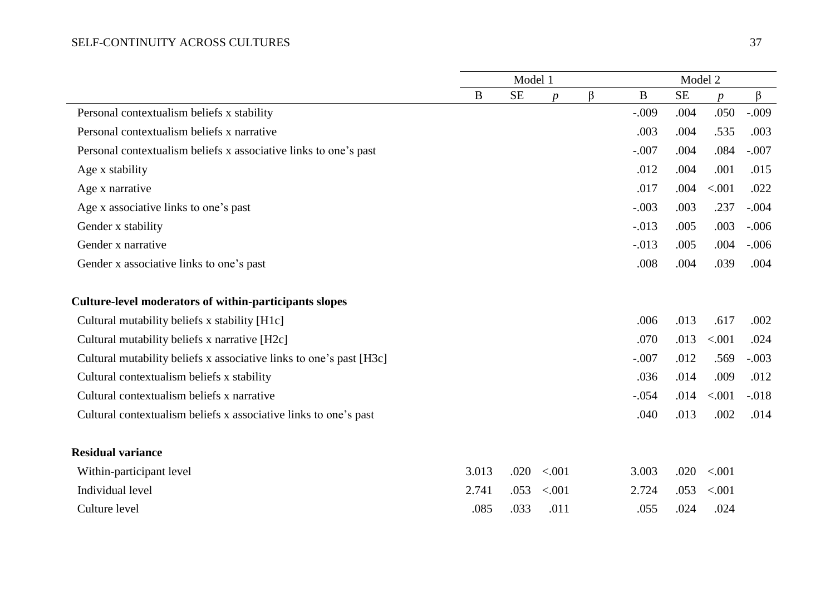|                                                                     |       | Model 1   |                  |         |          |           |                  |         |
|---------------------------------------------------------------------|-------|-----------|------------------|---------|----------|-----------|------------------|---------|
|                                                                     | B     | <b>SE</b> | $\boldsymbol{p}$ | $\beta$ | $\bf{B}$ | <b>SE</b> | $\boldsymbol{p}$ | β       |
| Personal contextualism beliefs x stability                          |       |           |                  |         | $-.009$  | .004      | .050             | $-.009$ |
| Personal contextualism beliefs x narrative                          |       |           |                  |         | .003     | .004      | .535             | .003    |
| Personal contextualism beliefs x associative links to one's past    |       |           |                  |         | $-.007$  | .004      | .084             | $-.007$ |
| Age x stability                                                     |       |           |                  |         | .012     | .004      | .001             | .015    |
| Age x narrative                                                     |       |           |                  |         | .017     | .004      | < .001           | .022    |
| Age x associative links to one's past                               |       |           |                  |         | $-.003$  | .003      | .237             | $-.004$ |
| Gender x stability                                                  |       |           |                  |         | $-.013$  | .005      | .003             | $-.006$ |
| Gender x narrative                                                  |       |           |                  |         | $-0.013$ | .005      | .004             | $-.006$ |
| Gender x associative links to one's past                            |       |           |                  |         | .008     | .004      | .039             | .004    |
| Culture-level moderators of within-participants slopes              |       |           |                  |         |          |           |                  |         |
| Cultural mutability beliefs x stability [H1c]                       |       |           |                  |         | .006     | .013      | .617             | .002    |
| Cultural mutability beliefs x narrative [H2c]                       |       |           |                  |         | .070     | .013      | < .001           | .024    |
| Cultural mutability beliefs x associative links to one's past [H3c] |       |           |                  |         | $-.007$  | .012      | .569             | $-.003$ |
| Cultural contextualism beliefs x stability                          |       |           |                  |         | .036     | .014      | .009             | .012    |
| Cultural contextualism beliefs x narrative                          |       |           |                  |         | $-.054$  | .014      | < .001           | $-.018$ |
| Cultural contextualism beliefs x associative links to one's past    |       |           |                  |         | .040     | .013      | .002             | .014    |
| <b>Residual variance</b>                                            |       |           |                  |         |          |           |                  |         |
| Within-participant level                                            | 3.013 | .020      | < .001           |         | 3.003    | .020      | < 0.001          |         |
| Individual level                                                    | 2.741 | .053      | < .001           |         | 2.724    | .053      | < 0.001          |         |
| Culture level                                                       | .085  | .033      | .011             |         | .055     | .024      | .024             |         |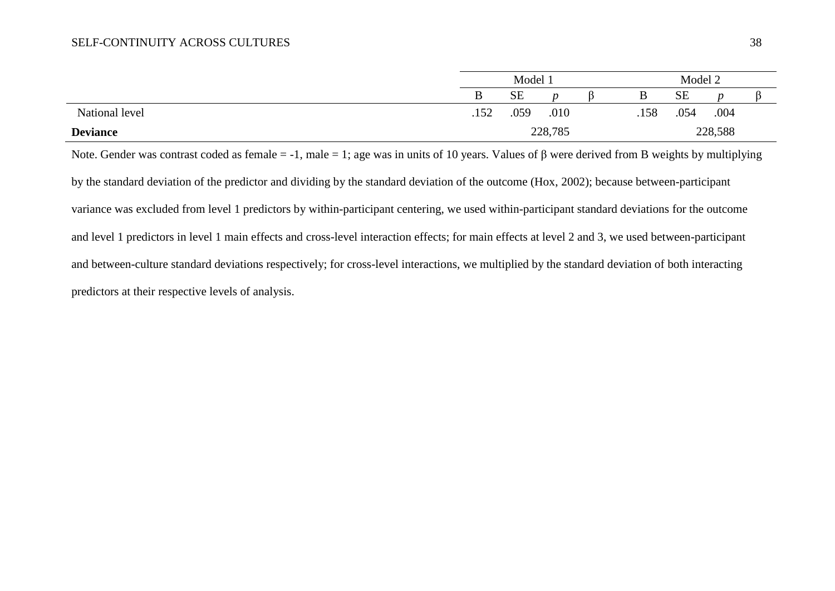|                 |      | Model 1 |         | Model 2      |           |         |  |  |
|-----------------|------|---------|---------|--------------|-----------|---------|--|--|
|                 | ້    | SЕ      |         | $\mathbf{D}$ | <b>SE</b> |         |  |  |
| National level  | .152 | .059    | .010    | .158         | .054      | .004    |  |  |
| <b>Deviance</b> |      |         | 228,785 |              |           | 228,588 |  |  |

Note. Gender was contrast coded as female = -1, male = 1; age was in units of 10 years. Values of β were derived from B weights by multiplying by the standard deviation of the predictor and dividing by the standard deviation of the outcome (Hox, 2002); because between-participant variance was excluded from level 1 predictors by within-participant centering, we used within-participant standard deviations for the outcome and level 1 predictors in level 1 main effects and cross-level interaction effects; for main effects at level 2 and 3, we used between-participant and between-culture standard deviations respectively; for cross-level interactions, we multiplied by the standard deviation of both interacting predictors at their respective levels of analysis.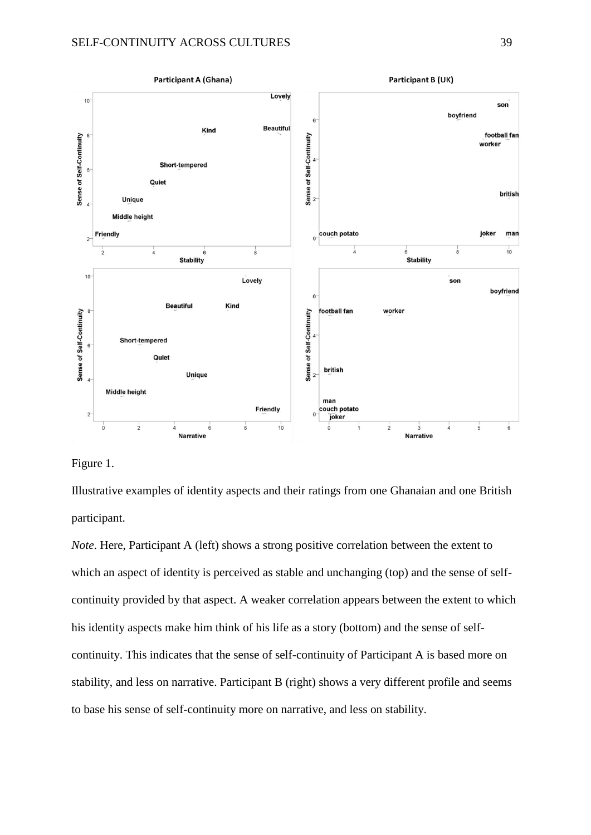

## Figure 1.

Illustrative examples of identity aspects and their ratings from one Ghanaian and one British participant.

*Note*. Here, Participant A (left) shows a strong positive correlation between the extent to which an aspect of identity is perceived as stable and unchanging (top) and the sense of selfcontinuity provided by that aspect. A weaker correlation appears between the extent to which his identity aspects make him think of his life as a story (bottom) and the sense of selfcontinuity. This indicates that the sense of self-continuity of Participant A is based more on stability, and less on narrative. Participant B (right) shows a very different profile and seems to base his sense of self-continuity more on narrative, and less on stability.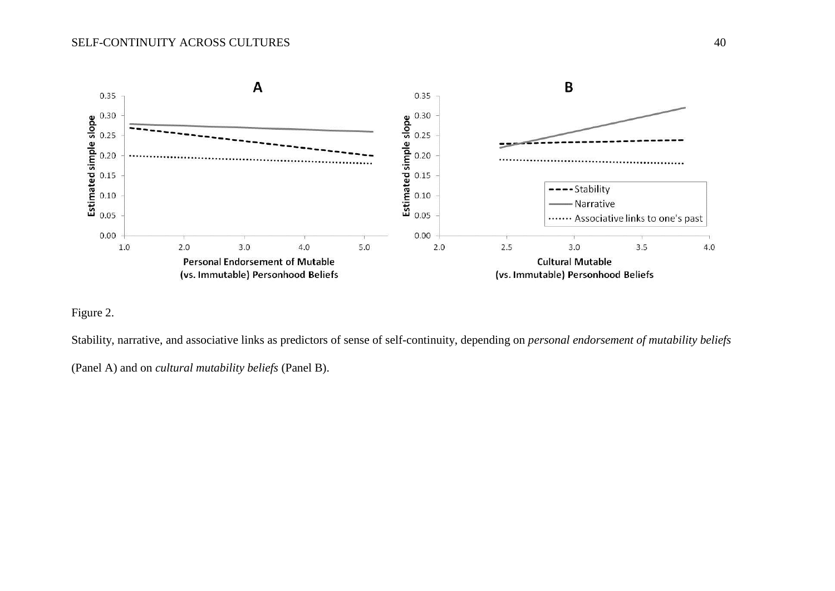

## Figure 2.

Stability, narrative, and associative links as predictors of sense of self-continuity, depending on *personal endorsement of mutability beliefs* 

(Panel A) and on *cultural mutability beliefs* (Panel B).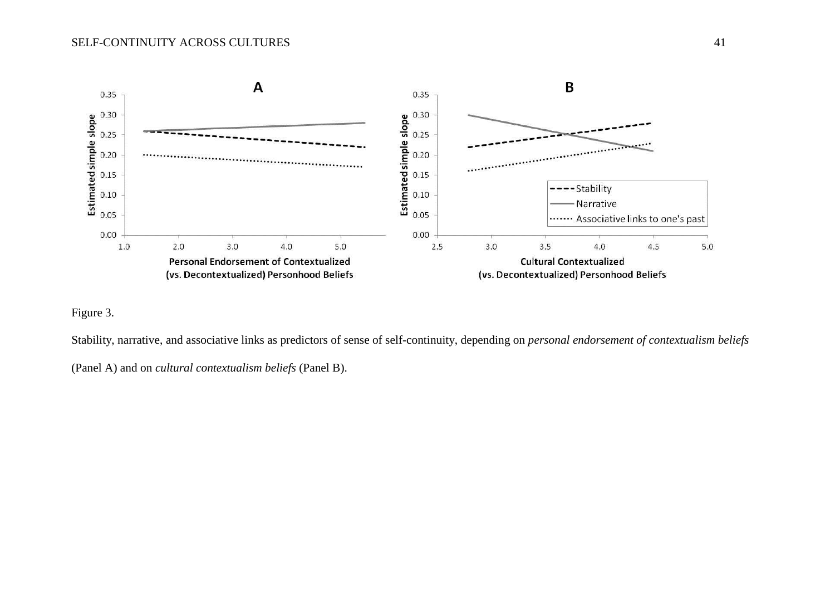

## Figure 3.

Stability, narrative, and associative links as predictors of sense of self-continuity, depending on *personal endorsement of contextualism beliefs* 

(Panel A) and on *cultural contextualism beliefs* (Panel B).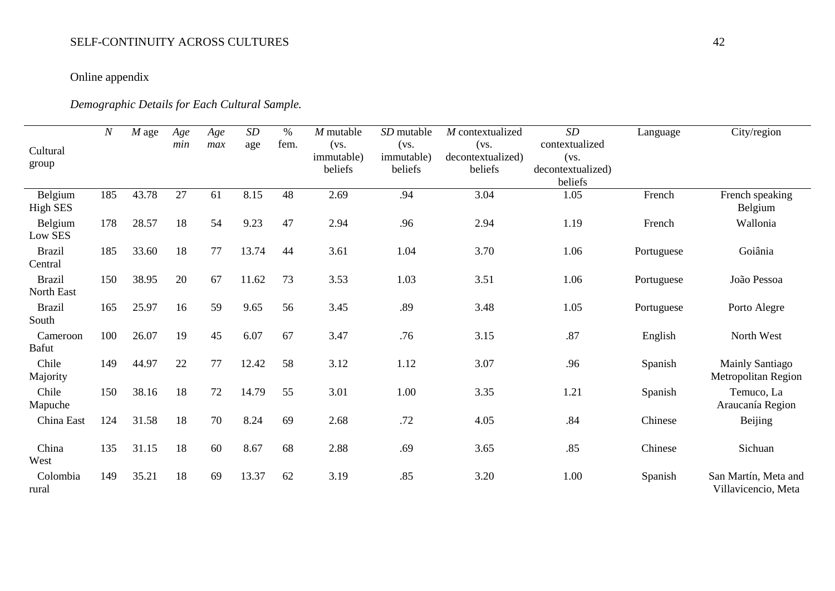# Online appendix

# *Demographic Details for Each Cultural Sample.*

|                             | $\cal N$ | $\mathcal M$ age | Age | Age | SD    | $\%$ | $M$ mutable        | SD mutable             | M contextualized          | SD                           | Language   | City/region                                   |
|-----------------------------|----------|------------------|-----|-----|-------|------|--------------------|------------------------|---------------------------|------------------------------|------------|-----------------------------------------------|
| Cultural                    |          |                  | min | max | age   | fem. | (vs.<br>immutable) | $(vs)$ .<br>immutable) | (vs.<br>decontextualized) | contextualized<br>(vs.       |            |                                               |
| group                       |          |                  |     |     |       |      | beliefs            | beliefs                | beliefs                   | decontextualized)<br>beliefs |            |                                               |
| Belgium<br><b>High SES</b>  | 185      | 43.78            | 27  | 61  | 8.15  | 48   | 2.69               | .94                    | 3.04                      | 1.05                         | French     | French speaking<br>Belgium                    |
| Belgium<br>Low SES          | 178      | 28.57            | 18  | 54  | 9.23  | 47   | 2.94               | .96                    | 2.94                      | 1.19                         | French     | Wallonia                                      |
| <b>Brazil</b><br>Central    | 185      | 33.60            | 18  | 77  | 13.74 | 44   | 3.61               | 1.04                   | 3.70                      | 1.06                         | Portuguese | Goiânia                                       |
| <b>Brazil</b><br>North East | 150      | 38.95            | 20  | 67  | 11.62 | 73   | 3.53               | 1.03                   | 3.51                      | 1.06                         | Portuguese | João Pessoa                                   |
| <b>Brazil</b><br>South      | 165      | 25.97            | 16  | 59  | 9.65  | 56   | 3.45               | .89                    | 3.48                      | 1.05                         | Portuguese | Porto Alegre                                  |
| Cameroon<br><b>Bafut</b>    | 100      | 26.07            | 19  | 45  | 6.07  | 67   | 3.47               | .76                    | 3.15                      | .87                          | English    | North West                                    |
| Chile<br>Majority           | 149      | 44.97            | 22  | 77  | 12.42 | 58   | 3.12               | 1.12                   | 3.07                      | .96                          | Spanish    | <b>Mainly Santiago</b><br>Metropolitan Region |
| Chile<br>Mapuche            | 150      | 38.16            | 18  | 72  | 14.79 | 55   | 3.01               | 1.00                   | 3.35                      | 1.21                         | Spanish    | Temuco, La<br>Araucanía Region                |
| China East                  | 124      | 31.58            | 18  | 70  | 8.24  | 69   | 2.68               | .72                    | 4.05                      | .84                          | Chinese    | Beijing                                       |
| China<br>West               | 135      | 31.15            | 18  | 60  | 8.67  | 68   | 2.88               | .69                    | 3.65                      | .85                          | Chinese    | Sichuan                                       |
| Colombia<br>rural           | 149      | 35.21            | 18  | 69  | 13.37 | 62   | 3.19               | .85                    | 3.20                      | 1.00                         | Spanish    | San Martín, Meta and<br>Villavicencio, Meta   |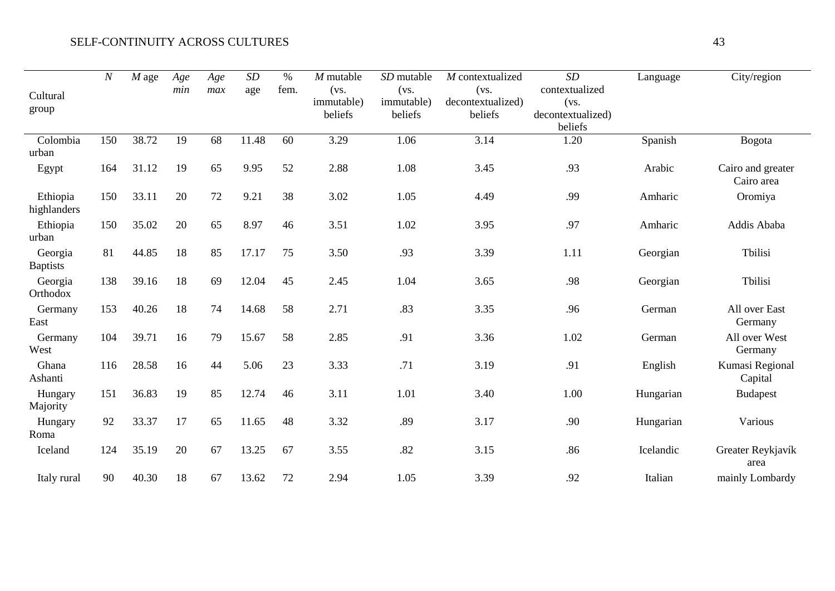| Cultural<br>group          | $\boldsymbol{N}$ | $\mathcal M$ age | Age<br>min | Age<br>max | SD<br>age | $\%$<br>fem. | $M$ mutable<br>(vs.<br>immutable)<br>beliefs | SD mutable<br>(vs.<br>immutable)<br>beliefs | $M$ contextualized<br>(vs.<br>decontextualized)<br>beliefs | SD<br>contextualized<br>(vs.<br>decontextualized)<br>beliefs | Language  | City/region                     |
|----------------------------|------------------|------------------|------------|------------|-----------|--------------|----------------------------------------------|---------------------------------------------|------------------------------------------------------------|--------------------------------------------------------------|-----------|---------------------------------|
| Colombia<br>urban          | 150              | 38.72            | 19         | 68         | 11.48     | 60           | 3.29                                         | 1.06                                        | 3.14                                                       | 1.20                                                         | Spanish   | Bogota                          |
| Egypt                      | 164              | 31.12            | 19         | 65         | 9.95      | 52           | 2.88                                         | 1.08                                        | 3.45                                                       | .93                                                          | Arabic    | Cairo and greater<br>Cairo area |
| Ethiopia<br>highlanders    | 150              | 33.11            | 20         | 72         | 9.21      | 38           | 3.02                                         | 1.05                                        | 4.49                                                       | .99                                                          | Amharic   | Oromiya                         |
| Ethiopia<br>urban          | 150              | 35.02            | 20         | 65         | 8.97      | 46           | 3.51                                         | 1.02                                        | 3.95                                                       | .97                                                          | Amharic   | Addis Ababa                     |
| Georgia<br><b>Baptists</b> | 81               | 44.85            | 18         | 85         | 17.17     | 75           | 3.50                                         | .93                                         | 3.39                                                       | 1.11                                                         | Georgian  | Tbilisi                         |
| Georgia<br>Orthodox        | 138              | 39.16            | 18         | 69         | 12.04     | 45           | 2.45                                         | 1.04                                        | 3.65                                                       | .98                                                          | Georgian  | Tbilisi                         |
| Germany<br>East            | 153              | 40.26            | 18         | 74         | 14.68     | 58           | 2.71                                         | .83                                         | 3.35                                                       | .96                                                          | German    | All over East<br>Germany        |
| Germany<br>West            | 104              | 39.71            | 16         | 79         | 15.67     | 58           | 2.85                                         | .91                                         | 3.36                                                       | 1.02                                                         | German    | All over West<br>Germany        |
| Ghana<br>Ashanti           | 116              | 28.58            | 16         | 44         | 5.06      | 23           | 3.33                                         | .71                                         | 3.19                                                       | .91                                                          | English   | Kumasi Regional<br>Capital      |
| Hungary<br>Majority        | 151              | 36.83            | 19         | 85         | 12.74     | 46           | 3.11                                         | 1.01                                        | 3.40                                                       | 1.00                                                         | Hungarian | <b>Budapest</b>                 |
| Hungary<br>Roma            | 92               | 33.37            | 17         | 65         | 11.65     | 48           | 3.32                                         | .89                                         | 3.17                                                       | .90                                                          | Hungarian | Various                         |
| Iceland                    | 124              | 35.19            | 20         | 67         | 13.25     | 67           | 3.55                                         | .82                                         | 3.15                                                       | .86                                                          | Icelandic | Greater Reykjavík<br>area       |
| Italy rural                | 90               | 40.30            | 18         | 67         | 13.62     | 72           | 2.94                                         | 1.05                                        | 3.39                                                       | .92                                                          | Italian   | mainly Lombardy                 |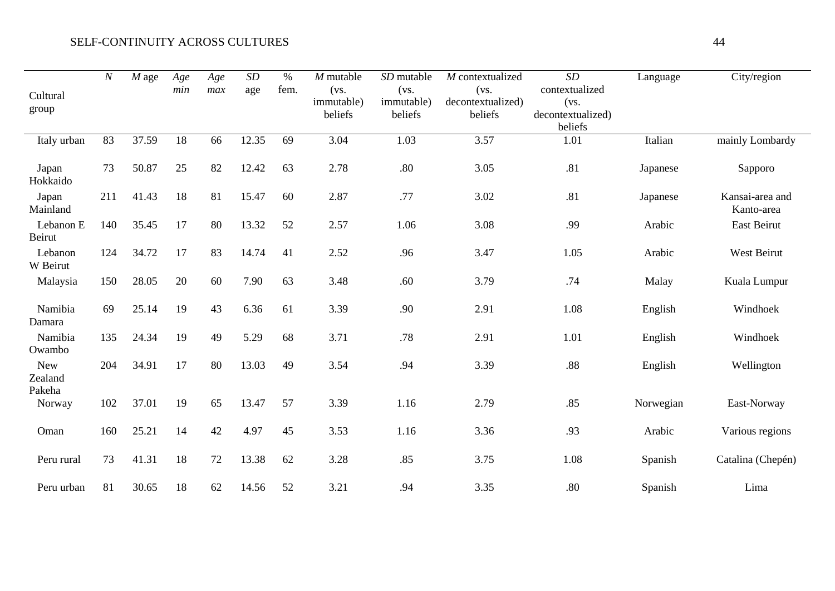| Cultural<br>group               | $\cal N$ | $M$ age | Age<br>min | Age<br>max | SD<br>age | $\%$<br>fem. | $M$ mutable<br>(vs.<br>immutable)<br>beliefs | SD mutable<br>(vs.<br>immutable)<br>beliefs | $M$ contextualized<br>(vs.<br>decontextualized)<br>beliefs | SD<br>contextualized<br>(vs.<br>decontextualized)<br>beliefs | Language  | City/region                   |
|---------------------------------|----------|---------|------------|------------|-----------|--------------|----------------------------------------------|---------------------------------------------|------------------------------------------------------------|--------------------------------------------------------------|-----------|-------------------------------|
| Italy urban                     | 83       | 37.59   | 18         | 66         | 12.35     | 69           | 3.04                                         | 1.03                                        | 3.57                                                       | 1.01                                                         | Italian   | mainly Lombardy               |
| Japan<br>Hokkaido               | 73       | 50.87   | 25         | 82         | 12.42     | 63           | 2.78                                         | .80                                         | 3.05                                                       | .81                                                          | Japanese  | Sapporo                       |
| Japan<br>Mainland               | 211      | 41.43   | 18         | 81         | 15.47     | 60           | 2.87                                         | .77                                         | 3.02                                                       | .81                                                          | Japanese  | Kansai-area and<br>Kanto-area |
| Lebanon E<br>Beirut             | 140      | 35.45   | 17         | 80         | 13.32     | 52           | 2.57                                         | 1.06                                        | 3.08                                                       | .99                                                          | Arabic    | East Beirut                   |
| Lebanon<br>W Beirut             | 124      | 34.72   | 17         | 83         | 14.74     | 41           | 2.52                                         | .96                                         | 3.47                                                       | 1.05                                                         | Arabic    | West Beirut                   |
| Malaysia                        | 150      | 28.05   | 20         | 60         | 7.90      | 63           | 3.48                                         | .60                                         | 3.79                                                       | .74                                                          | Malay     | Kuala Lumpur                  |
| Namibia<br>Damara               | 69       | 25.14   | 19         | 43         | 6.36      | 61           | 3.39                                         | .90                                         | 2.91                                                       | 1.08                                                         | English   | Windhoek                      |
| Namibia<br>Owambo               | 135      | 24.34   | 19         | 49         | 5.29      | 68           | 3.71                                         | .78                                         | 2.91                                                       | 1.01                                                         | English   | Windhoek                      |
| <b>New</b><br>Zealand<br>Pakeha | 204      | 34.91   | 17         | 80         | 13.03     | 49           | 3.54                                         | .94                                         | 3.39                                                       | .88                                                          | English   | Wellington                    |
| Norway                          | 102      | 37.01   | 19         | 65         | 13.47     | 57           | 3.39                                         | 1.16                                        | 2.79                                                       | .85                                                          | Norwegian | East-Norway                   |
| Oman                            | 160      | 25.21   | 14         | 42         | 4.97      | 45           | 3.53                                         | 1.16                                        | 3.36                                                       | .93                                                          | Arabic    | Various regions               |
| Peru rural                      | 73       | 41.31   | 18         | 72         | 13.38     | 62           | 3.28                                         | .85                                         | 3.75                                                       | 1.08                                                         | Spanish   | Catalina (Chepén)             |
| Peru urban                      | 81       | 30.65   | 18         | 62         | 14.56     | 52           | 3.21                                         | .94                                         | 3.35                                                       | .80                                                          | Spanish   | Lima                          |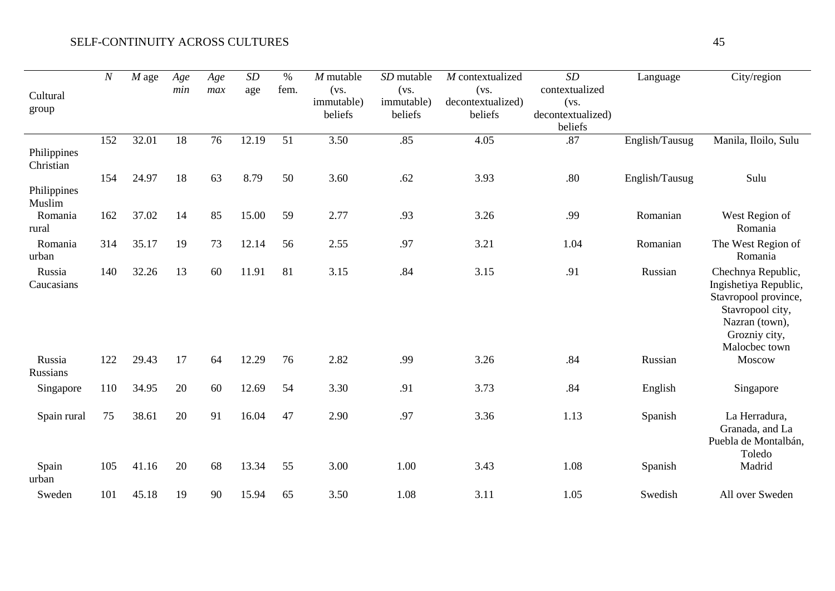| Cultural<br>group        | $\cal N$ | $M$ age | Age<br>min | Age<br>max | SD<br>age | $\%$<br>fem. | $M$ mutable<br>(vs.<br>immutable)<br>beliefs | SD mutable<br>(vs.<br>immutable)<br>beliefs | $M$ contextualized<br>(vs.<br>decontextualized)<br>beliefs | $\overline{SD}$<br>contextualized<br>(vs.<br>decontextualized)<br>beliefs | Language       | City/region                                                                                                                                 |
|--------------------------|----------|---------|------------|------------|-----------|--------------|----------------------------------------------|---------------------------------------------|------------------------------------------------------------|---------------------------------------------------------------------------|----------------|---------------------------------------------------------------------------------------------------------------------------------------------|
| Philippines<br>Christian | 152      | 32.01   | 18         | 76         | 12.19     | 51           | 3.50                                         | .85                                         | 4.05                                                       | .87                                                                       | English/Tausug | Manila, Iloilo, Sulu                                                                                                                        |
| Philippines<br>Muslim    | 154      | 24.97   | 18         | 63         | 8.79      | 50           | 3.60                                         | .62                                         | 3.93                                                       | $.80\,$                                                                   | English/Tausug | Sulu                                                                                                                                        |
| Romania<br>rural         | 162      | 37.02   | 14         | 85         | 15.00     | 59           | 2.77                                         | .93                                         | 3.26                                                       | .99                                                                       | Romanian       | West Region of<br>Romania                                                                                                                   |
| Romania<br>urban         | 314      | 35.17   | 19         | 73         | 12.14     | 56           | 2.55                                         | .97                                         | 3.21                                                       | 1.04                                                                      | Romanian       | The West Region of<br>Romania                                                                                                               |
| Russia<br>Caucasians     | 140      | 32.26   | 13         | 60         | 11.91     | 81           | 3.15                                         | .84                                         | 3.15                                                       | .91                                                                       | Russian        | Chechnya Republic,<br>Ingishetiya Republic,<br>Stavropool province,<br>Stavropool city,<br>Nazran (town),<br>Grozniy city,<br>Malocbec town |
| Russia<br>Russians       | 122      | 29.43   | 17         | 64         | 12.29     | 76           | 2.82                                         | .99                                         | 3.26                                                       | .84                                                                       | Russian        | Moscow                                                                                                                                      |
| Singapore                | 110      | 34.95   | 20         | 60         | 12.69     | 54           | 3.30                                         | .91                                         | 3.73                                                       | .84                                                                       | English        | Singapore                                                                                                                                   |
| Spain rural              | 75       | 38.61   | 20         | 91         | 16.04     | 47           | 2.90                                         | .97                                         | 3.36                                                       | 1.13                                                                      | Spanish        | La Herradura,<br>Granada, and La<br>Puebla de Montalbán,<br>Toledo                                                                          |
| Spain<br>urban           | 105      | 41.16   | 20         | 68         | 13.34     | 55           | 3.00                                         | 1.00                                        | 3.43                                                       | 1.08                                                                      | Spanish        | Madrid                                                                                                                                      |
| Sweden                   | 101      | 45.18   | 19         | 90         | 15.94     | 65           | 3.50                                         | 1.08                                        | 3.11                                                       | 1.05                                                                      | Swedish        | All over Sweden                                                                                                                             |